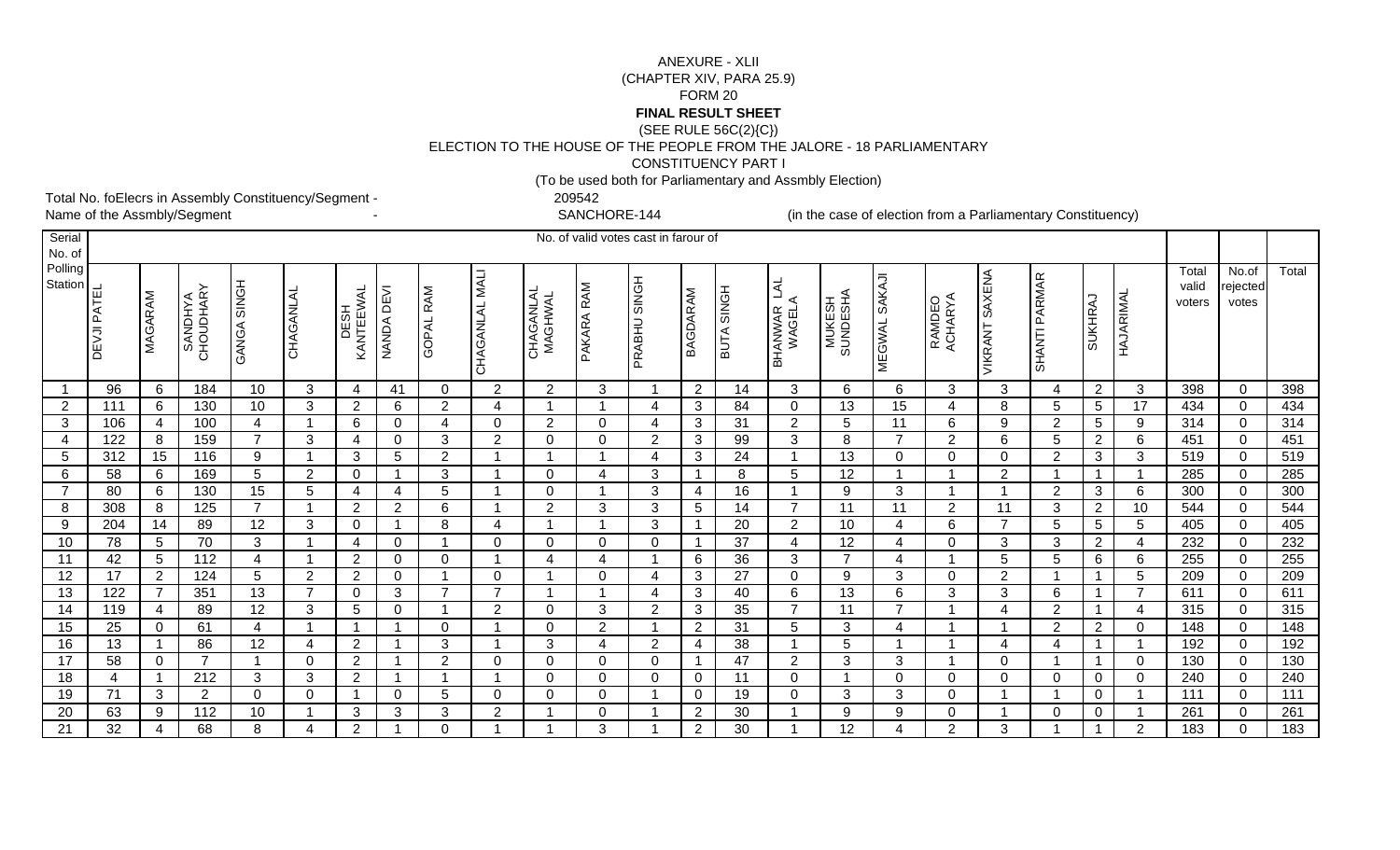## (SEE RULE 56C(2){C}) ELECTION TO THE HOUSE OF THE PEOPLE FROM THE JALORE - 18 PARLIAMENTARYCONSTITUENCY PART IANEXURE - XLII (CHAPTER XIV, PARA 25.9)FORM 20**FINAL RESULT SHEET**

(To be used both for Parliamentary and Assmbly Election)

Total No. foElecrs in Assembly Constituency/Segment - 209542<br>Name of the Assmbly/Segment Theory Constituency of the Assmbly/Segment

SANCHORE-144

- SANCHORE-144 (in the case of election from a Parliamentary Constituency)

| Serial<br>No. of   |             |                |                            |                                  |                |                     |                |                     |                          |                      | No. of valid votes cast in farour of |                     |                 |                 |                                   |                    |                      |                               |                       |                |                         |                |                          |                            |            |
|--------------------|-------------|----------------|----------------------------|----------------------------------|----------------|---------------------|----------------|---------------------|--------------------------|----------------------|--------------------------------------|---------------------|-----------------|-----------------|-----------------------------------|--------------------|----------------------|-------------------------------|-----------------------|----------------|-------------------------|----------------|--------------------------|----------------------------|------------|
| Polling<br>Station | DEVJI PATEL | MAGARAM        | <b>ANDHAN</b><br>CHOUDHARY | GANGA SINGH                      | CHAGANLAL      | DESH<br>KANTEEWAL   | NANDA DEVI     | GOPAL RAM           | <b>NALI</b><br>CHAGANLAL | CHAGANLAL<br>MAGHWAL | PAKARA RAM                           | PRABHU SINGH        | BAGDARAM        | BUTA SINGH      | <b>TVT</b><br>BHANWAR L<br>WAGELA | MUKESH<br>SUNDESHA | MEGWAL SAKAJI        | RAMDEO<br>ACHARYA             | <b>VIKRANT SAXENA</b> | SHANTI PARMAR  | <b>SUKHRAJ</b>          | HAJARIMAL      | Total<br>valid<br>voters | No.of<br>rejected<br>votes | Total      |
|                    | 96          | 6              | 184                        | 10                               | $\mathbf{3}$   | $\overline{a}$      | 41             | 0                   | $\overline{2}$           | $\overline{2}$       | 3                                    |                     | $\overline{2}$  | 14              | 3                                 | 6                  | 6                    | 3                             | 3                     | 4              | $\overline{2}$          | 3              | 398                      | $\mathbf 0$                | 398        |
| $\overline{2}$     | 111         | 6              | 130                        | 10                               | 3              | $\overline{2}$      | 6              | $\overline{2}$      | 4                        |                      |                                      | 4                   | $\mathbf{3}$    | 84              | $\mathbf 0$                       | 13                 | 15                   | 4                             | 8                     | 5              | 5                       | 17             | 434                      | $\Omega$                   | 434        |
| 3                  | 106<br>122  | 4              | 100                        | $\overline{4}$<br>$\overline{7}$ |                | 6                   | $\mathbf 0$    |                     | 0                        | 2                    | 0<br>$\Omega$                        | 4                   | $\mathbf{3}$    | 31              | $\overline{2}$                    | 5                  | 11<br>$\overline{7}$ | 6                             | 9                     | $\overline{2}$ | 5                       | 9              | 314                      | $\mathbf 0$                | 314        |
| 4                  | 312         | 8<br>15        | 159<br>116                 | 9                                | 3              | $\overline{4}$<br>3 | $\Omega$<br>5  | 3<br>$\overline{2}$ | $\overline{2}$           | $\Omega$             |                                      | $\overline{2}$<br>4 | $\mathbf{3}$    | 99<br>24        | 3<br>$\overline{ }$               | 8<br>13            | $\mathbf 0$          | $\overline{2}$<br>$\mathbf 0$ | 6<br>$\mathbf 0$      | 5              | $\overline{2}$          | 6<br>3         | 451<br>519               | $\mathbf 0$<br>$\mathbf 0$ | 451<br>519 |
| 5<br>6             | 58          | 6              | 169                        | $\sqrt{5}$                       | $\overline{2}$ | $\mathbf{0}$        |                | 3                   |                          | $\Omega$             |                                      | 3                   | 3               | 8               | 5                                 | 12                 |                      |                               | $\overline{2}$        | $\overline{2}$ | 3                       |                | 285                      | $\Omega$                   | 285        |
|                    | 80          | 6              | 130                        | 15                               | 5              | $\overline{4}$      | 4              | 5                   |                          | $\Omega$             |                                      | 3                   | 4               | 16              |                                   | 9                  | 3                    |                               |                       | $\overline{2}$ | 3                       | 6              | 300                      | $\Omega$                   | 300        |
| 8                  | 308         | 8              | 125                        | $\overline{7}$                   |                | $\overline{2}$      | $\overline{2}$ | 6                   |                          | $\overline{2}$       | 3                                    | 3                   | $5\phantom{.0}$ | 14              | $\overline{7}$                    | 11                 | 11                   | $\overline{2}$                | 11                    | 3              | $\overline{2}$          | 10             | 544                      | $\Omega$                   | 544        |
| 9                  | 204         | 14             | 89                         | 12                               | 3              | $\mathbf 0$         |                | 8                   | 4                        |                      |                                      | 3                   |                 | 20              | 2                                 | 10                 | $\overline{4}$       | 6                             | 7                     | 5              | 5                       | 5              | 405                      | $\Omega$                   | 405        |
| 10                 | 78          | 5 <sup>5</sup> | $\overline{70}$            | 3                                |                | $\overline{4}$      | $\Omega$       |                     | $\mathbf 0$              | $\Omega$             | $\Omega$                             | 0                   |                 | $\overline{37}$ | 4                                 | 12                 | 4                    | $\mathbf 0$                   | 3                     | 3              | $\overline{2}$          | 4              | 232                      | $\mathbf 0$                | 232        |
| 11                 | 42          | 5              | 112                        | 4                                |                | $\overline{2}$      | $\Omega$       | 0                   |                          | 4                    |                                      |                     | 6               | 36              | 3                                 | $\overline{7}$     | 4                    |                               | 5                     | 5              | 6                       | 6              | 255                      | $\overline{0}$             | 255        |
| 12                 | 17          | $2^{\circ}$    | 124                        | 5                                | $\overline{2}$ | $\overline{2}$      | 0              |                     | 0                        |                      | $\Omega$                             | 4                   | 3               | 27              | $\mathbf 0$                       | 9                  | 3                    | $\mathbf 0$                   | $\overline{2}$        |                |                         | 5              | 209                      | $\overline{0}$             | 209        |
| 13                 | 122         | $\overline{7}$ | 351                        | 13                               | $\overline{ }$ | $\overline{0}$      | 3              | 7                   | $\overline{ }$           |                      |                                      | 4                   | 3               | 40              | 6                                 | 13                 | 6                    | 3                             | 3                     | 6              |                         | 7              | 611                      | $\overline{0}$             | 611        |
| 14                 | 119         | 4              | 89                         | 12                               | 3              | $5\phantom{.0}$     | $\Omega$       |                     | 2                        | $\Omega$             | 3                                    | $\overline{2}$      | $\mathbf{3}$    | 35              | $\overline{7}$                    | 11                 | $\overline{7}$       |                               | 4                     | $\overline{2}$ |                         | $\overline{4}$ | 315                      | $\mathbf 0$                | 315        |
| 15                 | 25          | $\overline{0}$ | 61                         | 4                                |                |                     |                | $\mathbf 0$         |                          | $\Omega$             | $\overline{2}$                       |                     | $\overline{2}$  | 31              | 5                                 | 3                  | 4                    |                               |                       | $\overline{2}$ | $\overline{2}$          | 0              | 148                      | $\mathbf 0$                | 148        |
| 16                 | 13          |                | 86                         | 12                               | 4              | $\overline{2}$      |                | 3                   |                          | 3                    |                                      | $\overline{2}$      | 4               | 38              | $\overline{ }$                    | 5                  |                      |                               | 4                     | 4              |                         |                | 192                      | $\mathbf 0$                | 192        |
| $\overline{17}$    | 58          | $\Omega$       | $\overline{7}$             |                                  | $\Omega$       | $\overline{2}$      |                | $\overline{2}$      | $\mathbf 0$              | $\Omega$             | $\Omega$                             | 0                   | -1              | 47              | $\overline{2}$                    | 3                  | 3                    |                               | $\Omega$              |                |                         | $\mathbf 0$    | 130                      | $\Omega$                   | 130        |
| 18                 | 4           |                | 212                        | 3                                | 3              | 2                   |                |                     |                          | $\mathbf 0$          | $\Omega$                             | 0                   | $\overline{0}$  | 11              | $\mathbf 0$                       |                    | $\mathbf 0$          | $\mathbf 0$                   | $\mathbf 0$           | $\overline{0}$ | 0                       | $\mathbf 0$    | 240                      | $\mathbf 0$                | 240        |
| 19                 | 71          | 3              | $\overline{2}$             | $\mathbf 0$                      | $\Omega$       |                     | $\Omega$       | 5                   | $\mathbf 0$              | $\Omega$             | $\Omega$                             |                     | $\mathbf 0$     | 19              | $\mathbf 0$                       | 3                  | 3                    | $\mathbf{0}$                  |                       |                | 0                       |                | 111                      | $\Omega$                   | 111        |
| 20                 | 63          | 9              | 112                        | 10                               |                | 3                   | 3              | 3                   | $\overline{2}$           |                      | $\Omega$                             |                     | $\overline{2}$  | 30              |                                   | 9                  | 9                    | $\mathbf 0$                   |                       | 0              | 0                       |                | 261                      | $\mathbf 0$                | 261        |
| 21                 | 32          | 4              | 68                         | 8                                | 4              | $\overline{2}$      |                | $\Omega$            |                          |                      | 3                                    |                     | 2               | 30              | 1                                 | 12                 | 4                    | $\overline{2}$                | 3                     |                | $\overline{\mathbf{1}}$ | 2              | 183                      | $\Omega$                   | 183        |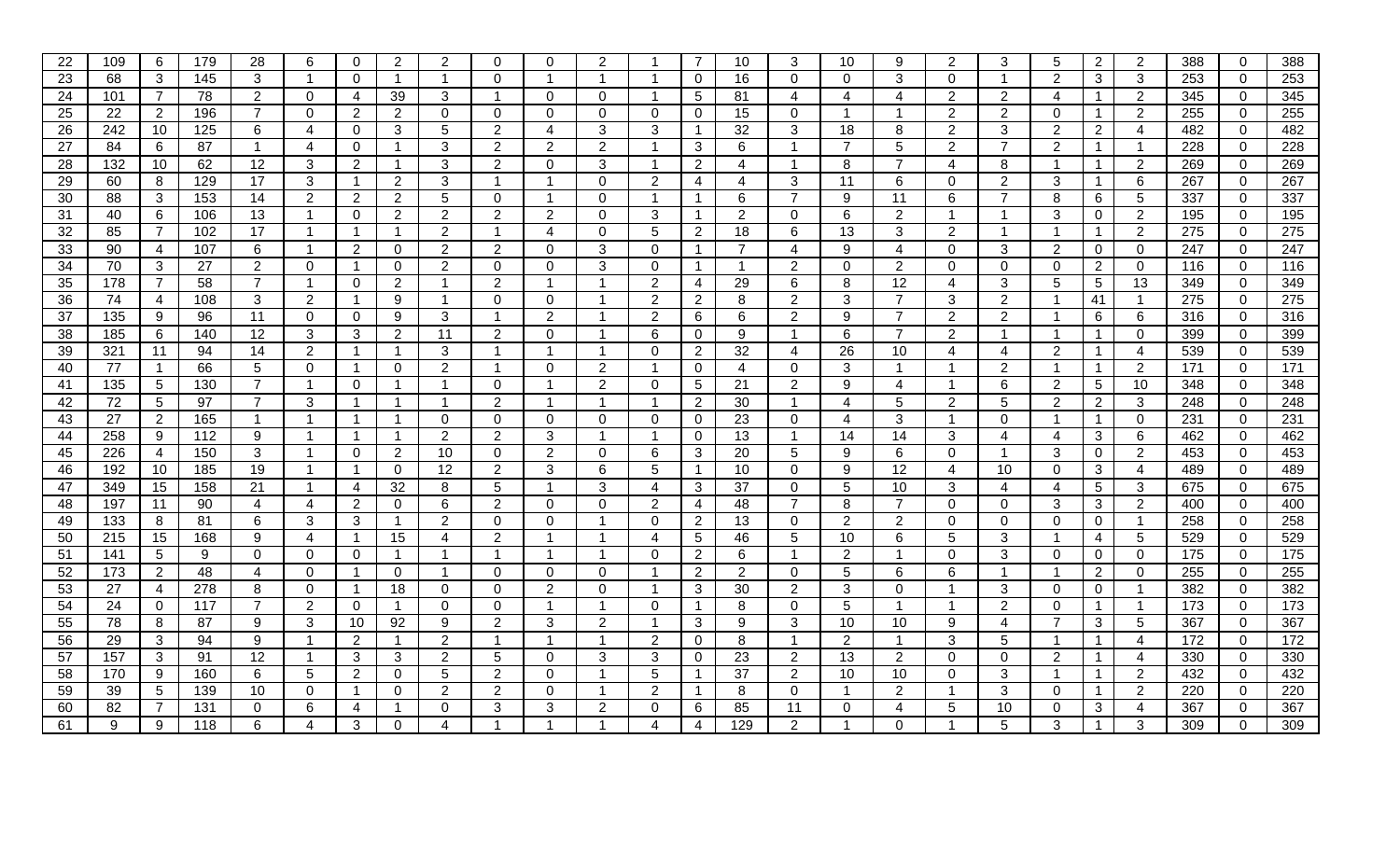| 22 | 109 | 6               | 179 | 28             | 6              | $\mathbf 0$    | $\overline{2}$ | 2              | $\Omega$                | $\Omega$       | 2           |                | $\overline{7}$       | 10             | 3              | 10             | 9                    | 2              | 3              | 5                       | $\mathbf{2}^{\prime}$ | 2               | 388 | $\mathbf{0}$   | 388 |
|----|-----|-----------------|-----|----------------|----------------|----------------|----------------|----------------|-------------------------|----------------|-------------|----------------|----------------------|----------------|----------------|----------------|----------------------|----------------|----------------|-------------------------|-----------------------|-----------------|-----|----------------|-----|
| 23 | 68  | 3               | 145 | 3              | -1             | $\Omega$       | -1             | - 1            | $\mathbf{0}$            |                | -1          |                | $\overline{0}$       | 16             | $\Omega$       | 0              | 3                    | $\Omega$       |                | $\overline{2}$          | 3                     | 3               | 253 | $\mathbf 0$    | 253 |
| 24 | 101 | $\overline{7}$  | 78  | $\overline{2}$ | $\Omega$       | 4              | 39             | 3              | -1                      | 0              | $\Omega$    |                | 5                    | 81             | 4              | Δ              | 4                    | 2              | $\overline{2}$ | $\boldsymbol{\Delta}$   |                       | $\overline{2}$  | 345 | $\mathbf{0}$   | 345 |
| 25 | 22  | $\overline{2}$  | 196 | $\overline{7}$ | $\Omega$       | 2              | $\overline{2}$ | $\Omega$       | $\mathbf{0}$            | $\Omega$       | $\Omega$    | $\Omega$       | $\Omega$             | 15             | $\Omega$       | -1             | $\blacktriangleleft$ | 2              | 2              | $\Omega$                |                       | 2               | 255 | $\Omega$       | 255 |
| 26 | 242 | 10              | 125 | 6              | 4              | $\overline{0}$ | 3              | 5              | 2                       | 4              | 3           | 3              | $\mathbf{1}$         | 32             | 3              | 18             | 8                    | $\overline{2}$ | 3              | 2                       | 2                     | 4               | 482 | $\mathbf 0$    | 482 |
| 27 | 84  | 6               | 87  | -1             | 4              | $\mathbf 0$    |                | 3              | $\overline{2}$          | $\overline{2}$ | 2           |                | 3                    | 6              |                | $\overline{7}$ | 5                    | $\overline{2}$ | $\overline{7}$ | $\overline{2}$          |                       | $\mathbf{1}$    | 228 | $\mathbf 0$    | 228 |
| 28 | 132 | 10 <sup>°</sup> | 62  | 12             | 3              | $\overline{2}$ |                | 3              | $\overline{2}$          | $\Omega$       | 3           | -1             | $\overline{2}$       | 4              |                | 8              | $\overline{7}$       | 4              | 8              | -1                      |                       | $\overline{2}$  | 269 | $\mathbf{0}$   | 269 |
| 29 | 60  | 8               | 129 | 17             | 3              | $\mathbf{1}$   | $\overline{2}$ | 3              |                         |                | $\Omega$    | $\overline{2}$ | 4                    | 4              | 3              | 11             | 6                    | $\Omega$       | 2              | 3                       |                       | 6               | 267 | $\overline{0}$ | 267 |
| 30 | 88  | 3               | 153 | 14             | 2              | 2              | 2              | 5              | $\Omega$                |                | $\Omega$    |                | -1                   | 6              |                | 9              | 11                   | 6              | 7              | 8                       | 6                     | 5               | 337 | $\overline{0}$ | 337 |
| 31 | 40  | 6               | 106 | 13             |                | $\mathbf 0$    | $\overline{2}$ | $\overline{2}$ | 2                       | $\overline{2}$ | $\Omega$    | 3              | $\blacktriangleleft$ | $\overline{2}$ | $\mathbf 0$    | 6              | 2                    |                | -1             | 3                       | $\mathbf 0$           | $\overline{2}$  | 195 | $\mathbf 0$    | 195 |
| 32 | 85  | $\overline{7}$  | 102 | 17             |                | $\mathbf{1}$   | -1             | $\overline{2}$ | -1                      | 4              | $\mathbf 0$ | 5              | 2                    | 18             | 6              | 13             | 3                    | $\overline{2}$ |                | -1                      |                       | $\overline{2}$  | 275 | $\mathbf 0$    | 275 |
| 33 | 90  | 4               | 107 | 6              | -1             | $\overline{2}$ | 0              | $\overline{2}$ | $\overline{2}$          | 0              | 3           | $\Omega$       | $\mathbf{1}$         | $\overline{7}$ | 4              | 9              | 4                    | $\mathbf 0$    | 3              | 2                       | 0                     | $\mathbf 0$     | 247 | $\mathbf 0$    | 247 |
| 34 | 70  | 3               | 27  | $\overline{2}$ | $\Omega$       | $\overline{1}$ | 0              | $\overline{2}$ | $\mathbf{0}$            | $\Omega$       | 3           | 0              | -1                   |                | $\overline{2}$ | 0              | $\overline{2}$       | $\Omega$       | $\overline{0}$ | $\mathbf{0}$            | $\mathbf{2}^{\prime}$ | $\overline{0}$  | 116 | $\mathbf{0}$   | 116 |
| 35 | 178 |                 | 58  | 7              |                | $\mathbf 0$    | 2              |                | $\overline{2}$          |                |             | 2              | 4                    | 29             | 6              | 8              | 12                   | 4              | 3              | 5                       | 5                     | 13              | 349 | $\mathbf 0$    | 349 |
| 36 | 74  | 4               | 108 | 3              | 2              | $\mathbf{1}$   | 9              |                | $\mathbf{0}$            | $\Omega$       |             | 2              | $\overline{2}$       | 8              | $\overline{2}$ | 3              | $\overline{7}$       | 3              | $\overline{2}$ | -1                      | 41                    | $\mathbf{1}$    | 275 | $\mathbf{0}$   | 275 |
| 37 | 135 | 9               | 96  | 11             | $\Omega$       | $\mathbf 0$    | 9              | 3              | -1                      | $\overline{2}$ |             | 2              | 6                    | 6              | $\overline{2}$ | 9              | $\overline{7}$       | 2              | $\overline{2}$ | -1                      | 6                     | 6               | 316 | $\mathbf 0$    | 316 |
| 38 | 185 | 6               | 140 | 12             | 3              | 3              | $\overline{2}$ | 11             | 2                       | $\Omega$       |             | 6              | $\mathbf 0$          | 9              |                | 6              | $\overline{7}$       | 2              | -1             | -1                      |                       | $\mathbf 0$     | 399 | $\mathbf{0}$   | 399 |
| 39 | 321 | 11              | 94  | 14             | 2              | $\mathbf{1}$   | -1             | 3              |                         |                |             | $\Omega$       | 2                    | 32             | 4              | 26             | 10                   | 4              | 4              | 2                       |                       | 4               | 539 | $\mathbf{0}$   | 539 |
| 40 | 77  |                 | 66  | 5              | $\Omega$       | $\mathbf{1}$   | $\Omega$       | $\overline{2}$ | $\overline{\mathbf{1}}$ | $\Omega$       | 2           | -1             | $\mathbf 0$          | 4              | $\mathbf 0$    | 3              | $\blacktriangleleft$ | $\overline{1}$ | 2              | $\overline{\mathbf{1}}$ |                       | $\overline{2}$  | 171 | $\mathbf 0$    | 171 |
| 41 | 135 | 5               | 130 | $\overline{7}$ | -1             | $\mathbf{0}$   | -1             | -1             | $\mathbf 0$             |                | 2           | 0              | 5                    | 21             | $\overline{2}$ | 9              | $\overline{4}$       | -1             | 6              | $\overline{2}$          | 5                     | 10              | 348 | $\overline{0}$ | 348 |
| 42 | 72  | 5               | 97  | 7              | 3              | $\overline{1}$ |                | -1             | $\overline{2}$          |                |             |                | $\overline{2}$       | 30             |                | 4              | 5                    | 2              | 5              | $\overline{2}$          | $\overline{2}$        | 3               | 248 | $\mathbf{0}$   | 248 |
| 43 | 27  | 2               | 165 | -1             |                | $\mathbf 1$    |                | $\Omega$       | $\Omega$                | $\Omega$       | $\Omega$    | 0              | $\mathbf 0$          | 23             | $\Omega$       | 4              | 3                    | -1             | 0              | $\mathbf 1$             |                       | $\mathbf{0}$    | 231 | $\mathbf{0}$   | 231 |
| 44 | 258 | 9               | 112 | 9              |                | $\mathbf{1}$   |                | 2              | $\overline{2}$          | 3              |             |                | $\overline{0}$       | 13             |                | 14             | 14                   | 3              | $\overline{4}$ | 4                       | 3                     | 6               | 462 | $\mathbf 0$    | 462 |
| 45 | 226 | 4               | 150 | 3              |                | $\mathbf{0}$   | $\overline{2}$ | 10             | $\mathbf 0$             | $\overline{2}$ | $\mathbf 0$ | 6              | 3                    | 20             | 5              | 9              | 6                    | $\Omega$       |                | 3                       | 0                     | $\overline{2}$  | 453 | $\overline{0}$ | 453 |
| 46 | 192 | 10              | 185 | 19             | -1             | $\mathbf{1}$   | 0              | 12             | $\overline{2}$          | 3              | 6           | 5              | $\overline{1}$       | 10             | $\Omega$       | 9              | 12                   | 4              | 10             | $\Omega$                | 3                     | $\overline{4}$  | 489 | $\overline{0}$ | 489 |
| 47 | 349 | 15              | 158 | 21             |                | $\overline{4}$ | 32             | 8              | 5                       |                | 3           | 4              | 3                    | 37             | $\Omega$       | 5              | 10                   | 3              | 4              | 4                       | 5                     | 3               | 675 | $\overline{0}$ | 675 |
| 48 | 197 | 11              | 90  | 4              | $\overline{4}$ | $\overline{2}$ | 0              | 6              | 2                       | $\Omega$       | $\Omega$    | $\overline{2}$ | 4                    | 48             | $\overline{7}$ | 8              | $\overline{7}$       | $\Omega$       | $\overline{0}$ | 3                       | 3                     | $\overline{2}$  | 400 | $\mathbf 0$    | 400 |
| 49 | 133 | 8               | 81  | 6              | 3              | 3              | 1              | $\overline{2}$ | $\mathbf 0$             | $\Omega$       |             | 0              | $\overline{2}$       | 13             | $\mathbf 0$    | $\overline{2}$ | $\overline{2}$       | $\mathbf 0$    | $\overline{0}$ | $\Omega$                | 0                     | $\mathbf{1}$    | 258 | $\mathbf{0}$   | 258 |
| 50 | 215 | 15              | 168 | 9              | 4              | $\mathbf{1}$   | 15             | 4              | $\overline{2}$          |                |             | 4              | 5                    | 46             | 5              | 10             | 6                    | 5              | 3              | -1                      | 4                     | $5\overline{)}$ | 529 | $\mathbf{0}$   | 529 |
| 51 | 141 | 5               | 9   | $\mathbf{0}$   | $\Omega$       | $\Omega$       |                |                |                         |                |             | 0              | 2                    | 6              |                | $\overline{2}$ |                      | $\Omega$       | 3              | 0                       | 0                     | $\Omega$        | 175 | $\mathbf{0}$   | 175 |
| 52 | 173 | $\overline{2}$  | 48  | 4              | $\Omega$       | $\mathbf{1}$   | 0              |                | $\mathbf{0}$            | 0              | 0           |                | $\overline{2}$       | $\overline{2}$ | $\mathbf 0$    | 5              | 6                    | 6              | -1             | -1                      | $\overline{2}$        | $\mathbf 0$     | 255 | $\overline{0}$ | 255 |
| 53 | 27  | 4               | 278 | 8              | $\Omega$       | $\overline{1}$ | 18             | 0              | $\Omega$                | $\overline{2}$ | $\Omega$    |                | 3                    | 30             | $\overline{2}$ | 3              | $\mathbf 0$          |                | 3              | $\Omega$                | 0                     | $\mathbf{1}$    | 382 | $\overline{0}$ | 382 |
| 54 | 24  | $\overline{0}$  | 117 | $\overline{7}$ | 2              | $\mathbf 0$    | -1             | $\Omega$       | $\mathbf 0$             |                | -1          | $\Omega$       | -1                   | 8              | $\mathbf 0$    | 5              |                      |                | $\overline{2}$ | $\Omega$                |                       | $\mathbf{1}$    | 173 | $\overline{0}$ | 173 |
| 55 | 78  | 8               | 87  | 9              | 3              | 10             | 92             | 9              | 2                       | 3              | 2           | -1             | 3                    | 9              | 3              | 10             | 10                   | 9              | 4              | $\overline{7}$          | 3                     | 5               | 367 | $\Omega$       | 367 |
| 56 | 29  | 3               | 94  | 9              | -1             | $\overline{2}$ | -1             | $\overline{2}$ | -1                      |                | -1          | 2              | $\overline{0}$       | 8              | -1             | $\overline{2}$ | $\mathbf 1$          | 3              | 5              | -1                      |                       | 4               | 172 | $\mathbf 0$    | 172 |
| 57 | 157 | 3               | 91  | 12             | $\overline{1}$ | 3              | 3              | $\overline{2}$ | 5                       | $\Omega$       | 3           | 3              | $\overline{0}$       | 23             | $\overline{2}$ | 13             | $\overline{2}$       | $\mathbf 0$    | $\overline{0}$ | $\overline{2}$          |                       | 4               | 330 | $\mathbf 0$    | 330 |
| 58 | 170 | 9               | 160 | 6              | 5              | $\overline{2}$ | 0              | 5              | $\overline{2}$          | $\Omega$       |             | 5              | -1                   | 37             | $\mathbf{2}$   | 10             | 10                   | $\mathbf 0$    | 3              | -1                      |                       | $\overline{2}$  | 432 | $\mathbf{0}$   | 432 |
| 59 | 39  | 5               | 139 | 10             | $\Omega$       | $\mathbf{1}$   | 0              | $\overline{2}$ | 2                       | $\Omega$       |             | 2              | -1                   | 8              | $\Omega$       |                | 2                    | -1             | 3              | 0                       |                       | $\overline{2}$  | 220 | $\mathbf{0}$   | 220 |
| 60 | 82  |                 | 131 | $\mathbf{0}$   | 6              | 4              |                | $\Omega$       | 3                       | 3              | 2           | 0              | 6                    | 85             | 11             | 0              | 4                    | 5              | 10             | 0                       | 3                     | 4               | 367 | $\mathbf{0}$   | 367 |
| 61 | 9   | 9               | 118 | 6              | $\overline{4}$ | 3              | 0              | 4              |                         |                |             | 4              | 4                    | 129            | $\overline{2}$ |                | $\Omega$             |                | 5              | 3                       |                       | 3               | 309 | $\Omega$       | 309 |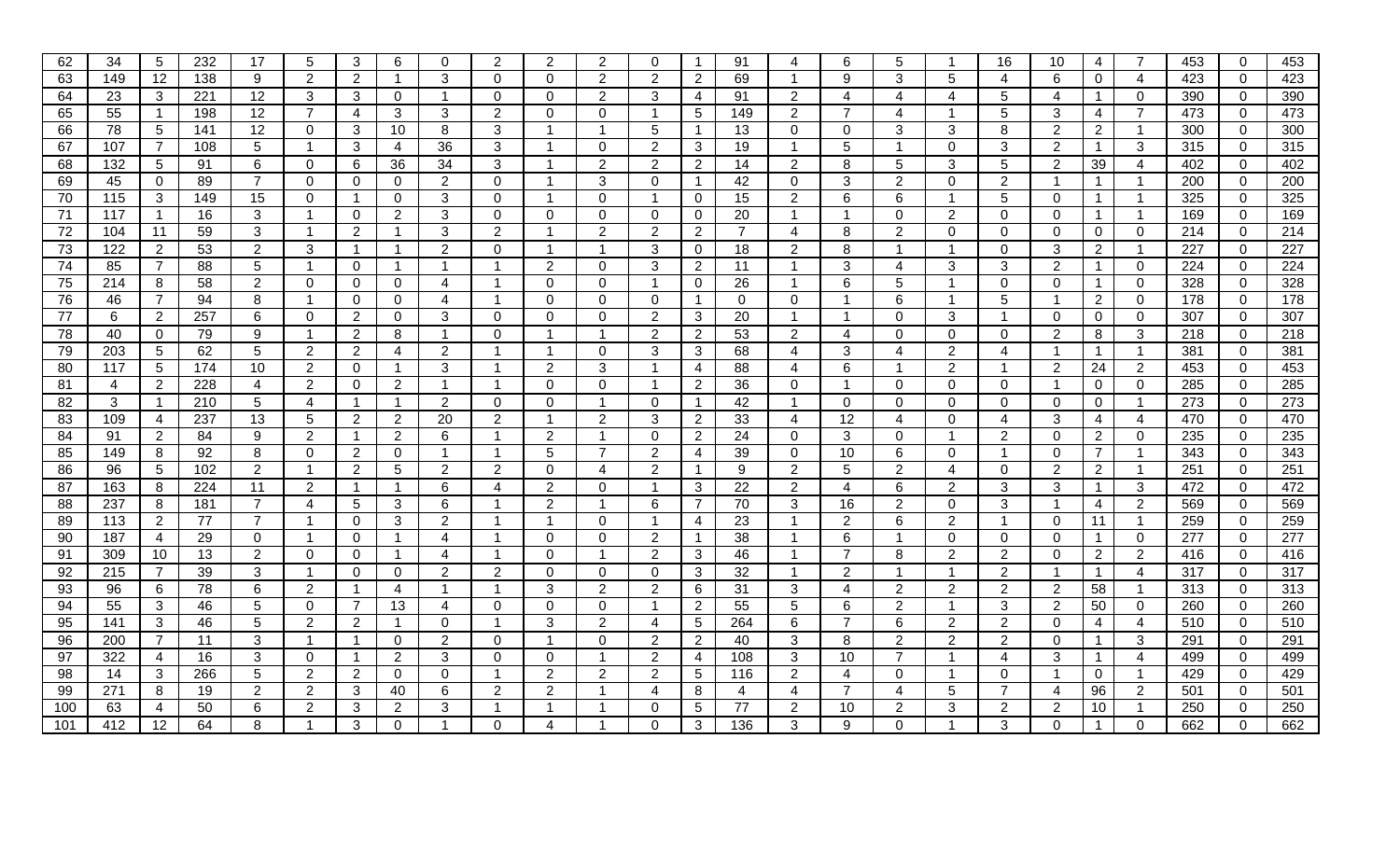| 62  | 34  | 5               | 232 | 17             | 5              | 3              | 6                     | 0              | 2              | 2              | 2              | $\Omega$       | $\mathbf 1$          | 91             | 4              | 6              | 5                     |                      | 16                      | 10                    | 4                     | 7              | 453 | $\mathbf 0$    | 453 |
|-----|-----|-----------------|-----|----------------|----------------|----------------|-----------------------|----------------|----------------|----------------|----------------|----------------|----------------------|----------------|----------------|----------------|-----------------------|----------------------|-------------------------|-----------------------|-----------------------|----------------|-----|----------------|-----|
| 63  | 149 | 12              | 138 | 9              | $\overline{2}$ | 2              | -1                    | 3              | $\mathbf{0}$   | $\Omega$       | $\overline{2}$ | $\overline{2}$ | $\overline{2}$       | 69             |                | 9              | 3                     | 5                    | 4                       | 6                     | 0                     | 4              | 423 | $\mathbf 0$    | 423 |
| 64  | 23  | $\mathbf{3}$    | 221 | 12             | 3              | 3              | 0                     | -1             | $\mathbf 0$    | 0              | 2              | 3              | 4                    | 91             | $\overline{2}$ | 4              | $\boldsymbol{\Delta}$ | 4                    | 5                       | $\boldsymbol{\Delta}$ |                       | $\mathbf 0$    | 390 | $\overline{0}$ | 390 |
| 65  | 55  | $\overline{1}$  | 198 | 12             | $\overline{7}$ | $\overline{4}$ | 3                     | 3              | 2              | $\Omega$       | $\Omega$       | -1             | 5                    | 149            | $2^{\circ}$    | $\overline{7}$ | 4                     | $\blacktriangleleft$ | 5                       | 3                     | 4                     | $\overline{7}$ | 473 | $\Omega$       | 473 |
| 66  | 78  | 5               | 141 | 12             | $\Omega$       | 3              | 10                    | 8              | 3              |                | -1             | 5              | $\mathbf 1$          | 13             | $\mathbf{0}$   | 0              | 3                     | 3                    | 8                       | 2                     | $\mathbf{2}^{\prime}$ | $\overline{1}$ | 300 | $\overline{0}$ | 300 |
| 67  | 107 | 7               | 108 | 5              | -1             | 3              | 4                     | 36             | 3              |                | $\mathbf 0$    | $\overline{2}$ | 3                    | 19             | -1             | 5              | -1                    | $\mathbf 0$          | 3                       | $\overline{2}$        |                       | 3              | 315 | $\mathbf 0$    | 315 |
| 68  | 132 | 5               | 91  | 6              | 0              | 6              | 36                    | 34             | 3              |                | $\overline{2}$ | $\overline{2}$ | $\overline{2}$       | 14             | $2^{\circ}$    | 8              | 5                     | 3                    | 5                       | $\overline{2}$        | 39                    | 4              | 402 | $\mathbf{0}$   | 402 |
| 69  | 45  | $\Omega$        | 89  | $\overline{7}$ | $\Omega$       | $\Omega$       | 0                     | $\overline{2}$ | $\mathbf{0}$   |                | 3              | $\Omega$       | $\mathbf 1$          | 42             | $\Omega$       | 3              | $\overline{2}$        | $\Omega$             | $\overline{2}$          | $\mathbf{1}$          |                       | $\mathbf{1}$   | 200 | $\overline{0}$ | 200 |
| 70  | 115 | 3               | 149 | 15             | $\Omega$       | -1             | 0                     | 3              | $\Omega$       |                | $\Omega$       |                | $\mathbf 0$          | 15             | $\overline{2}$ | 6              | 6                     |                      | 5                       | $\Omega$              |                       | -1             | 325 | $\overline{0}$ | 325 |
| 71  | 117 |                 | 16  | 3              |                | $\mathbf{0}$   | $\overline{2}$        | 3              | $\Omega$       | $\Omega$       | $\Omega$       | $\Omega$       | $\mathbf 0$          | 20             |                |                | 0                     | $\overline{2}$       | 0                       | $\Omega$              |                       | $\mathbf{1}$   | 169 | $\mathbf 0$    | 169 |
| 72  | 104 | 11              | 59  | 3              | -1             | $\overline{2}$ |                       | 3              | $\overline{2}$ |                | $\overline{2}$ | $\overline{2}$ | $\overline{2}$       | $\overline{7}$ | 4              | 8              | $\overline{2}$        | $\mathbf 0$          | $\overline{0}$          | $\Omega$              | 0                     | $\overline{0}$ | 214 | $\mathbf 0$    | 214 |
| 73  | 122 | $\overline{2}$  | 53  | 2              | 3              | $\mathbf{1}$   | -1                    | $\overline{2}$ | $\Omega$       |                |                | 3              | $\overline{0}$       | 18             | $\overline{2}$ | 8              | $\blacktriangleleft$  | -1                   | $\mathbf{0}$            | 3                     | 2                     | $\mathbf{1}$   | 227 | $\mathbf 0$    | 227 |
| 74  | 85  | $\overline{7}$  | 88  | 5              | -1             | $\Omega$       |                       |                |                | $\overline{2}$ | 0              | 3              | $\overline{2}$       | 11             |                | 3              | 4                     | 3                    | 3                       | 2                     |                       | $\overline{0}$ | 224 | $\mathbf{0}$   | 224 |
| 75  | 214 | 8               | 58  | 2              | $\Omega$       | $\mathbf 0$    | 0                     | 4              |                | 0              | $\Omega$       |                | $\mathbf 0$          | 26             |                | 6              | 5                     |                      | $\mathbf 0$             | 0                     |                       | $\mathbf 0$    | 328 | $\mathbf 0$    | 328 |
| 76  | 46  | $\overline{7}$  | 94  | 8              |                | $\mathbf{0}$   | 0                     | 4              |                | $\Omega$       | $\Omega$       | 0              | $\blacktriangleleft$ | $\Omega$       | 0              |                | 6                     |                      | 5                       | -1                    | $\overline{2}$        | $\mathbf{0}$   | 178 | $\mathbf 0$    | 178 |
| 77  | 6   | 2               | 257 | 6              | $\Omega$       | 2              | 0                     | 3              | $\Omega$       | $\Omega$       | 0              | $\overline{2}$ | 3                    | 20             |                |                | $\mathbf 0$           | 3                    | -1                      | 0                     | 0                     | $\overline{0}$ | 307 | $\mathbf 0$    | 307 |
| 78  | 40  | $\Omega$        | 79  | 9              | -1             | 2              | 8                     | -1             | $\Omega$       |                |                | 2              | $\overline{2}$       | 53             | $\overline{2}$ | 4              | $\Omega$              | $\Omega$             | $\Omega$                | 2                     | 8                     | 3              | 218 | $\mathbf 0$    | 218 |
| 79  | 203 | 5               | 62  | 5              | $\overline{2}$ | 2              | 4                     | 2              |                |                | $\Omega$       | 3              | 3                    | 68             | 4              | 3              | 4                     | $\overline{2}$       | 4                       | -1                    |                       | $\mathbf{1}$   | 381 | $\mathbf{0}$   | 381 |
| 80  | 117 | $5\phantom{.0}$ | 174 | 10             | $\overline{2}$ | $\mathbf 0$    | -1                    | 3              | -1             | $\overline{2}$ | 3              | -1             | 4                    | 88             | 4              | 6              | $\blacktriangleleft$  | 2                    | $\overline{\mathbf{1}}$ | 2                     | 24                    | $\overline{2}$ | 453 | $\mathbf 0$    | 453 |
| 81  | 4   | 2               | 228 | 4              | 2              | $\overline{0}$ | $\overline{2}$        | -1             | $\overline{1}$ | 0              | 0              | -1             | $\overline{2}$       | 36             | $\mathbf{0}$   | -1             | $\overline{0}$        | $\mathbf 0$          | $\mathbf{0}$            | $\overline{1}$        | 0                     | $\overline{0}$ | 285 | $\overline{0}$ | 285 |
| 82  | 3   |                 | 210 | 5              | 4              | $\mathbf{1}$   | -1                    | 2              | $\mathbf{0}$   | $\Omega$       |                | 0              | $\mathbf{1}$         | 42             |                | 0              | $\Omega$              | $\Omega$             | $\overline{0}$          | $\Omega$              | 0                     | $\overline{1}$ | 273 | $\mathbf{0}$   | 273 |
| 83  | 109 | 4               | 237 | 13             | 5              | $\overline{2}$ | $\mathbf{2}^{\prime}$ | 20             | 2              |                | 2              | 3              | $\overline{2}$       | 33             | 4              | 12             | 4                     | $\Omega$             | 4                       | 3                     | 4                     | 4              | 470 | $\overline{0}$ | 470 |
| 84  | 91  | $\overline{2}$  | 84  | 9              | 2              | $\mathbf{1}$   | $\overline{2}$        | 6              |                | 2              |                | $\Omega$       | $\overline{2}$       | 24             | $\mathbf 0$    | 3              | $\mathbf 0$           |                      | $\overline{2}$          | $\mathbf{0}$          | $\overline{2}$        | $\mathbf 0$    | 235 | $\mathbf 0$    | 235 |
| 85  | 149 | 8               | 92  | 8              | $\Omega$       | 2              | 0                     |                |                | 5              |                | 2              | 4                    | 39             | $\mathbf 0$    | 10             | 6                     | $\Omega$             |                         | $\Omega$              |                       | $\mathbf{1}$   | 343 | $\mathbf 0$    | 343 |
| 86  | 96  | 5               | 102 | $\overline{2}$ | -1             | 2              | 5                     | 2              | 2              | $\Omega$       | 4              | $\overline{2}$ | $\blacktriangleleft$ | 9              | $\overline{2}$ | 5              | $\overline{2}$        | 4                    | $\Omega$                | 2                     | $\overline{2}$        | $\mathbf{1}$   | 251 | $\overline{0}$ | 251 |
| 87  | 163 | 8               | 224 | 11             | 2              | $\mathbf{1}$   | -1                    | 6              | 4              | $\overline{2}$ | $\Omega$       | -1             | 3                    | 22             | $2^{\circ}$    | 4              | 6                     | $\overline{2}$       | 3                       | 3                     |                       | 3              | 472 | $\overline{0}$ | 472 |
| 88  | 237 | 8               | 181 | $\overline{7}$ | $\overline{4}$ | 5              | 3                     | 6              | -1             | $\overline{2}$ |                | 6              | $\overline{7}$       | 70             | 3              | 16             | 2                     | $\mathbf 0$          | 3                       | $\overline{1}$        | 4                     | $\overline{2}$ | 569 | $\mathbf 0$    | 569 |
| 89  | 113 | $\overline{2}$  | 77  | $\overline{7}$ | -1             | $\mathbf 0$    | 3                     | 2              |                |                | 0              |                | 4                    | 23             |                | $\overline{2}$ | 6                     | 2                    | $\overline{1}$          | $\mathbf{0}$          | 11                    | $\overline{1}$ | 259 | $\overline{0}$ | 259 |
| 90  | 187 | 4               | 29  | $\mathbf 0$    |                | $\mathbf 0$    |                       | 4              |                | $\Omega$       | $\Omega$       | 2              | $\mathbf{1}$         | 38             |                | 6              |                       | 0                    | $\overline{0}$          | $\Omega$              |                       | $\mathbf 0$    | 277 | $\overline{0}$ | 277 |
| 91  | 309 | 10              | 13  | 2              | $\Omega$       | $\Omega$       |                       | 4              |                | $\Omega$       |                | 2              | 3                    | 46             |                | 7              | 8                     | 2                    | $\overline{2}$          | 0                     | 2                     | $\overline{2}$ | 416 | $\mathbf{0}$   | 416 |
| 92  | 215 | 7               | 39  | 3              |                | $\Omega$       | 0                     | 2              | $\overline{2}$ | 0              | 0              | 0              | 3                    | 32             |                | $\overline{2}$ | 1                     |                      | 2                       | -1                    |                       | $\overline{4}$ | 317 | $\mathbf 0$    | 317 |
| 93  | 96  | 6               | 78  | 6              | $\overline{2}$ | $\mathbf{1}$   | 4                     |                |                | 3              | $\overline{2}$ | $\overline{2}$ | 6                    | 31             | 3              | 4              | $\overline{2}$        | 2                    | 2                       | $\overline{2}$        | 58                    | $\mathbf{1}$   | 313 | $\overline{0}$ | 313 |
| 94  | 55  | 3               | 46  | 5              | $\Omega$       | $\overline{7}$ | 13                    | 4              | $\Omega$       | 0              | $\mathbf 0$    | -1             | 2                    | 55             | 5              | 6              | 2                     | -1                   | 3                       | $\overline{2}$        | 50                    | $\mathbf{0}$   | 260 | $\overline{0}$ | 260 |
| 95  | 141 | 3               | 46  | 5              | $\overline{2}$ | 2              | -1                    | $\Omega$       | -1             | 3              | 2              | 4              | 5                    | 264            | 6              | $\overline{7}$ | 6                     | 2                    | 2                       | $\Omega$              | 4                     | $\overline{4}$ | 510 | $\Omega$       | 510 |
| 96  | 200 | $\overline{7}$  | 11  | 3              | -1             | $\overline{1}$ | 0                     | $\overline{2}$ | $\mathbf 0$    |                | $\mathbf 0$    | 2              | $\overline{2}$       | 40             | 3              | 8              | 2                     | $\overline{2}$       | $\overline{2}$          | $\Omega$              |                       | 3              | 291 | $\mathbf 0$    | 291 |
| 97  | 322 | 4               | 16  | 3              | 0              | $\overline{1}$ | 2                     | 3              | $\mathbf{0}$   | $\Omega$       | -1             | $\overline{2}$ | $\overline{4}$       | 108            | 3              | 10             | $\overline{7}$        | $\mathbf{1}$         | 4                       | 3                     |                       | 4              | 499 | $\mathbf 0$    | 499 |
| 98  | 14  | 3               | 266 | 5              | $\overline{2}$ | $\overline{2}$ | 0                     | $\Omega$       |                | $\overline{2}$ | 2              | $\overline{2}$ | 5                    | 116            | $\overline{2}$ | 4              | $\mathbf 0$           |                      | $\overline{0}$          | -1                    | 0                     | $\mathbf{1}$   | 429 | $\mathbf{0}$   | 429 |
| 99  | 271 | 8               | 19  | 2              | 2              | 3              | 40                    | 6              | 2              | 2              |                | 4              | 8                    | 4              | 4              | 7              | 4                     | 5                    | $\overline{7}$          | 4                     | 96                    | $\overline{2}$ | 501 | $\mathbf{0}$   | 501 |
| 100 | 63  | 4               | 50  | 6              | 2              | 3              | 2                     | 3              |                |                |                | 0              | 5                    | 77             | 2              | 10             | $\overline{2}$        | 3                    | $\overline{2}$          | 2                     | 10                    | 1              | 250 | $\overline{0}$ | 250 |
| 101 | 412 | 12              | 64  | 8              |                | 3              | 0                     |                | $\mathbf{0}$   | 4              |                | $\Omega$       | 3                    | 136            | 3              | 9              | $\Omega$              |                      | 3                       | $\Omega$              |                       | $\Omega$       | 662 | $\Omega$       | 662 |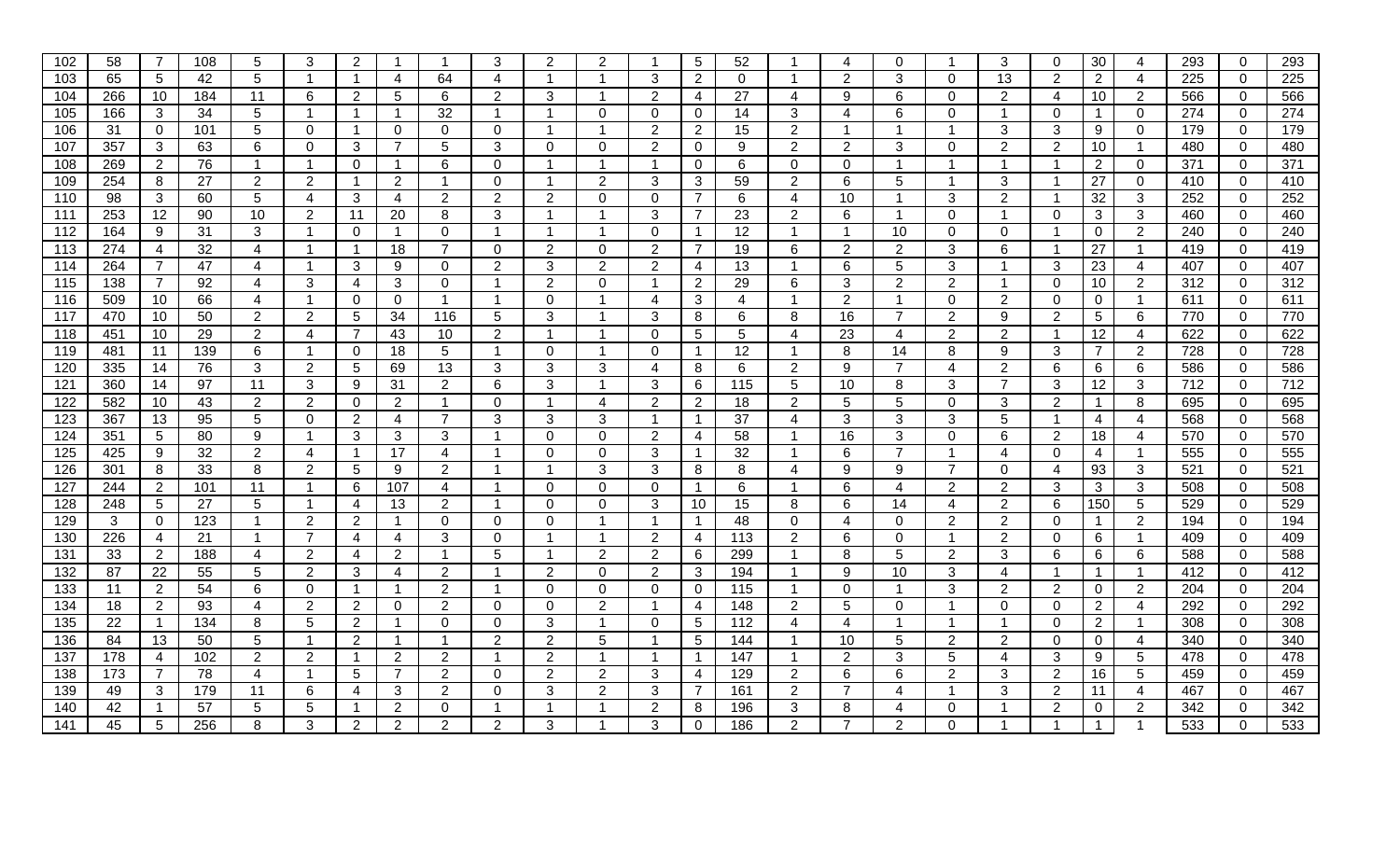| 102              | 58              | 7               | 108 | 5              | 3              | $\overline{2}$ |                | -1                       | 3                       | 2              | 2              |                | 5                    | 52               |                 | 4              | $\Omega$       |                | 3              | 0              | 30             | 4               | 293 | $\overline{0}$ | 293 |
|------------------|-----------------|-----------------|-----|----------------|----------------|----------------|----------------|--------------------------|-------------------------|----------------|----------------|----------------|----------------------|------------------|-----------------|----------------|----------------|----------------|----------------|----------------|----------------|-----------------|-----|----------------|-----|
| 103              | 65              | 5               | 42  | 5              | -1             | $\mathbf 1$    | 4              | 64                       | 4                       | -1             |                | 3              | $\overline{2}$       | $\mathbf 0$      |                 | $\overline{2}$ | 3              | $\mathbf 0$    | 13             | $\overline{2}$ | $\overline{2}$ | $\overline{4}$  | 225 | $\mathbf 0$    | 225 |
| 104              | 266             | 10              | 184 | 11             | 6              | 2              | 5              | 6                        | $\overline{2}$          | 3              |                | 2              | 4                    | 27               | 4               | 9              | 6              | $\mathbf{0}$   | $\overline{2}$ | 4              | 10             | $\overline{2}$  | 566 | $\overline{0}$ | 566 |
| 105              | 166             | 3               | 34  | 5              | -1             | $\mathbf 1$    | -1             | 32                       | $\overline{1}$          | -1             | $\mathbf{0}$   | 0              | $\Omega$             | 14               | 3               | 4              | 6              | $\Omega$       | $\overline{1}$ | $\Omega$       |                | $\Omega$        | 274 | $\overline{0}$ | 274 |
| 106              | 31              | $\mathbf{0}$    | 101 | 5              | $\Omega$       | -1             | 0              | $\Omega$                 | $\Omega$                | -1             |                | 2              | $\overline{2}$       | 15               | $\overline{2}$  | -1             | $\mathbf{1}$   | -1             | 3              | 3              | 9              | $\overline{0}$  | 179 | $\overline{0}$ | 179 |
| 107              | 357             | 3               | 63  | 6              | $\Omega$       | 3              | 7              | 5                        | 3                       | $\Omega$       | 0              | $\overline{2}$ | 0                    | 9                | $\overline{2}$  | $\overline{2}$ | 3              | $\mathbf 0$    | $\overline{2}$ | $\overline{2}$ | 10             | $\mathbf{1}$    | 480 | $\mathbf 0$    | 480 |
| 108              | 269             | $\overline{2}$  | 76  | $\mathbf 1$    |                | $\mathbf 0$    |                | 6                        | $\Omega$                |                |                |                | $\mathbf 0$          | 6                | $\mathbf 0$     | $\mathbf{0}$   | $\mathbf 1$    |                | -1             | -1             | $\overline{2}$ | $\mathbf 0$     | 371 | $\overline{0}$ | 371 |
| 109              | 254             | 8               | 27  | $\overline{2}$ | 2              | -1             | $\overline{2}$ | -1                       | $\Omega$                |                | $\overline{2}$ | 3              | 3                    | 59               | $\overline{2}$  | 6              | 5              |                | 3              | $\overline{1}$ | 27             | $\overline{0}$  | 410 | $\overline{0}$ | 410 |
| 110              | 98              | 3               | 60  | 5              | 4              | 3              | 4              | 2                        | 2                       | 2              | $\Omega$       | 0              | $\overline{7}$       | 6                | 4               | 10             | -1             | 3              | $\overline{2}$ | -1             | 32             | 3               | 252 | $\mathbf 0$    | 252 |
| 111              | 253             | $\overline{12}$ | 90  | 10             | $\overline{2}$ | 11             | 20             | 8                        | 3                       |                |                | 3              | $\overline{7}$       | 23               | 2               | 6              | $\mathbf{1}$   | $\mathbf 0$    | $\overline{1}$ | $\mathbf{0}$   | 3              | 3               | 460 | $\mathbf 0$    | 460 |
| 112              | 164             | 9               | 31  | 3              | -1             | $\mathbf 0$    | -1             | $\mathbf{0}$             | $\overline{1}$          | -1             |                | $\Omega$       | $\overline{1}$       | 12               | $\overline{1}$  | -1             | 10             | $\mathbf 0$    | $\mathbf{0}$   | -1             | 0              | $\overline{2}$  | 240 | $\overline{0}$ | 240 |
| 113              | 274             | 4               | 32  | 4              | -1             | $\overline{1}$ | 18             | $\overline{7}$           | 0                       | $\overline{2}$ | $\mathbf 0$    | $\overline{2}$ | $\overline{7}$       | 19               | 6               | $\overline{2}$ | $\overline{2}$ | 3              | 6              | $\overline{1}$ | 27             | $\mathbf{1}$    | 419 | $\mathbf 0$    | 419 |
| 114              | 264             | 7               | 47  | 4              | -1             | 3              | 9              | 0                        | $\overline{2}$          | 3              | $\overline{2}$ | 2              | 4                    | 13               | -1              | 6              | 5              | 3              | $\overline{1}$ | 3              | 23             | $\overline{4}$  | 407 | $\mathbf 0$    | 407 |
| 115              | 138             | 7               | 92  | 4              | 3              | 4              | 3              | $\Omega$                 | -1                      | $\overline{2}$ | 0              | -1             | $\overline{2}$       | 29               | 6               | 3              | $\overline{2}$ | 2              | -1             | 0              | 10             | $\overline{2}$  | 312 | $\overline{0}$ | 312 |
| 116              | 509             | 10              | 66  | 4              |                | $\mathbf 0$    | $\mathbf 0$    | -1                       | -1                      | $\Omega$       |                | 4              | 3                    | 4                |                 | $\overline{2}$ | $\mathbf{1}$   | $\Omega$       | 2              | $\mathbf{0}$   | 0              | $\mathbf{1}$    | 611 | $\overline{0}$ | 611 |
| 117              | 470             | 10              | 50  | 2              | 2              | 5              | 34             | 116                      | 5                       | 3              |                | 3              | 8                    | 6                | 8               | 16             | $\overline{7}$ | 2              | 9              | 2              | 5              | 6               | 770 | $\overline{0}$ | 770 |
| 118              | 451             | 10              | 29  | 2              | 4              | $\overline{7}$ | 43             | 10                       | $\overline{2}$          |                |                | 0              | 5                    | 5                | 4               | 23             | 4              | $\overline{2}$ | $\overline{2}$ | -1             | 12             | $\overline{4}$  | 622 | $\overline{0}$ | 622 |
| 119              | 481             | 11              | 139 | 6              |                | $\mathbf 0$    | 18             | 5                        | -1                      | $\Omega$       |                | $\Omega$       | 1.                   | 12               |                 | 8              | 14             | 8              | 9              | 3              | 7              | $\overline{2}$  | 728 | $\overline{0}$ | 728 |
| 120              | 335             | 14              | 76  | 3              | $\overline{2}$ | 5              | 69             | 13                       | 3                       | 3              | 3              | 4              | 8                    | 6                | 2               | 9              | $\overline{7}$ | $\overline{4}$ | 2              | 6              | 6              | 6               | 586 | $\mathbf 0$    | 586 |
| 121              | 360             | 14              | 97  | 11             | 3              | 9              | 31             | $\overline{2}$           | 6                       | 3              | $\mathbf 1$    | 3              | 6                    | 115              | $5\phantom{.0}$ | 10             | 8              | 3              | $\overline{7}$ | 3              | 12             | $\mathbf{3}$    | 712 | $\overline{0}$ | 712 |
| 122              | 582             | 10              | 43  | $\overline{2}$ | 2              | $\mathbf 0$    | $\overline{2}$ | -1                       | $\Omega$                | -1             | $\overline{4}$ | $\overline{2}$ | $\overline{2}$       | 18               | $\overline{2}$  | 5              | 5              | $\mathbf 0$    | 3              | $\overline{2}$ |                | 8               | 695 | $\mathbf 0$    | 695 |
| 123              | 367             | 13              | 95  | 5              | $\Omega$       | 2              | 4              | 7                        | 3                       | 3              | 3              | -1             | 1                    | 37               | 4               | 3              | 3              | 3              | 5              | $\overline{1}$ | 4              | 4               | 568 | $\overline{0}$ | 568 |
| 124              | 351             | 5               | 80  | 9              |                | 3              | 3              | 3                        | -1                      | $\Omega$       | $\mathbf{0}$   | 2              | $\overline{4}$       | 58               |                 | 16             | 3              | $\mathbf 0$    | 6              | 2              | 18             | 4               | 570 | $\mathbf 0$    | 570 |
| 125              | 425             | 9               | 32  | $\overline{2}$ | 4              | $\overline{1}$ | 17             | $\overline{\mathcal{A}}$ | -1                      | $\Omega$       | $\mathbf 0$    | 3              | $\overline{1}$       | 32               |                 | 6              | $\overline{7}$ | -1             | $\overline{4}$ | $\overline{0}$ | 4              | $\mathbf{1}$    | 555 | $\overline{0}$ | 555 |
| 126              | 301             | 8               | 33  | 8              | 2              | 5              | 9              | 2                        | -1                      |                | 3              | 3              | 8                    | 8                | 4               | 9              | 9              | $\overline{7}$ | $\overline{0}$ | 4              | 93             | 3               | 521 | $\overline{0}$ | 521 |
| 127              | 244             | 2               | 101 | 11             |                | 6              | 107            | 4                        | -1                      | $\Omega$       | $\Omega$       | $\Omega$       | $\blacktriangleleft$ | 6                |                 | 6              | $\overline{a}$ | $\overline{2}$ | $\overline{2}$ | 3              | 3              | 3               | 508 | $\overline{0}$ | 508 |
| 128              | 248             | $5\phantom{.0}$ | 27  | 5              |                | 4              | 13             | $\overline{2}$           | -1                      | $\Omega$       | $\Omega$       | 3              | 10                   | 15               | 8               | 6              | 14             | 4              | 2              | 6              | 150            | $5\phantom{.0}$ | 529 | $\mathbf 0$    | 529 |
| 129              | 3               | $\mathbf 0$     | 123 | -1             | 2              | 2              |                | $\Omega$                 | $\Omega$                | $\Omega$       |                |                | $\mathbf{1}$         | 48               | $\mathbf 0$     | 4              | $\overline{0}$ | 2              | $\overline{2}$ | $\Omega$       |                | $\overline{2}$  | 194 | $\overline{0}$ | 194 |
| 130              | 226             | 4               | 21  | -1             |                | 4              | 4              | 3                        | $\Omega$                |                |                | 2              | 4                    | 113              | 2               | 6              | $\mathbf 0$    | -1             | $\overline{2}$ | $\Omega$       | 6              | $\mathbf{1}$    | 409 | $\overline{0}$ | 409 |
| 131              | 33              | $\overline{2}$  | 188 | 4              | 2              | 4              | $\overline{2}$ | -1                       | 5                       |                | 2              | 2              | 6                    | 299              |                 | 8              | 5              | 2              | 3              | 6              | 6              | 6               | 588 | $\mathbf 0$    | 588 |
| $\overline{132}$ | 87              | 22              | 55  | 5              | 2              | 3              | 4              | $\overline{2}$           | -1                      | 2              | $\Omega$       | $\overline{2}$ | $\mathbf{3}$         | 194              |                 | 9              | 10             | 3              | 4              | $\overline{1}$ |                | $\mathbf{1}$    | 412 | $\mathbf 0$    | 412 |
| 133              | 11              | $\overline{2}$  | 54  | 6              | 0              | $\overline{1}$ |                | $\overline{2}$           | -1                      | $\Omega$       | $\mathbf 0$    | $\Omega$       | $\mathbf 0$          | 115              |                 | 0              | -1             | 3              | $\overline{2}$ | $\overline{2}$ | 0              | 2               | 204 | $\overline{0}$ | 204 |
| 134              | 18              | $\overline{2}$  | 93  | 4              | 2              | 2              | $\Omega$       | $\overline{2}$           | 0                       | $\mathbf 0$    | $\overline{2}$ | -1             | 4                    | 148              | $\overline{2}$  | 5              | 0              |                | $\mathbf 0$    | $\Omega$       | 2              | 4               | 292 | $\overline{0}$ | 292 |
| 135              | $\overline{22}$ | $\overline{1}$  | 134 | 8              | 5              | 2              | -1             | $\Omega$                 | $\Omega$                | 3              | -1             | $\Omega$       | 5                    | $\overline{112}$ | 4               | $\overline{4}$ | $\mathbf{1}$   | $\overline{1}$ | $\overline{1}$ | $\Omega$       | 2              | $\mathbf{1}$    | 308 | $\mathbf 0$    | 308 |
| 136              | 84              | 13              | 50  | 5              | -1             | 2              | -1             | -1                       | $\overline{2}$          | $\overline{2}$ | 5              | -1             | $5\phantom{.0}$      | 144              | $\mathbf 1$     | 10             | 5              | 2              | $\overline{2}$ | $\mathbf{0}$   | $\overline{0}$ | $\overline{4}$  | 340 | $\mathbf 0$    | 340 |
| 137              | 178             | 4               | 102 | $\overline{2}$ | 2              | $\mathbf 1$    | 2              | $\overline{2}$           | $\overline{\mathbf{1}}$ | $\overline{2}$ |                | -1             | $\overline{1}$       | 147              | $\mathbf 1$     | $\overline{2}$ | 3              | 5              | 4              | 3              | 9              | 5               | 478 | $\mathbf 0$    | 478 |
| 138              | 173             | 7               | 78  | 4              |                | 5              | 7              | $\overline{2}$           | 0                       | $\overline{2}$ | $\overline{2}$ | 3              | 4                    | 129              | $\overline{2}$  | 6              | 6              | 2              | 3              | $\overline{2}$ | 16             | $5\phantom{.0}$ | 459 | $\overline{0}$ | 459 |
| 139              | 49              | 3               | 179 | 11             | 6              | 4              | 3              | $\overline{2}$           | $\Omega$                | 3              | 2              | 3              | $\overline{7}$       | 161              | $\overline{2}$  | $\overline{7}$ | 4              | 1              | 3              | 2              | 11             | 4               | 467 | $\mathbf 0$    | 467 |
| 140              | 42              | -1              | 57  | 5              | 5              | $\mathbf 1$    | $\overline{2}$ | 0                        | -1                      |                |                | 2              | 8                    | 196              | 3               | 8              | 4              | $\Omega$       | -1             | 2              | 0              | $\overline{2}$  | 342 | $\overline{0}$ | 342 |
| 141              | 45              | 5               | 256 | 8              | 3              | 2              | $\overline{2}$ | $\overline{2}$           | $\overline{2}$          | 3              |                | 3              | $\Omega$             | 186              | $\overline{2}$  | $\overline{7}$ | $\overline{2}$ | $\Omega$       |                |                |                |                 | 533 | $\overline{0}$ | 533 |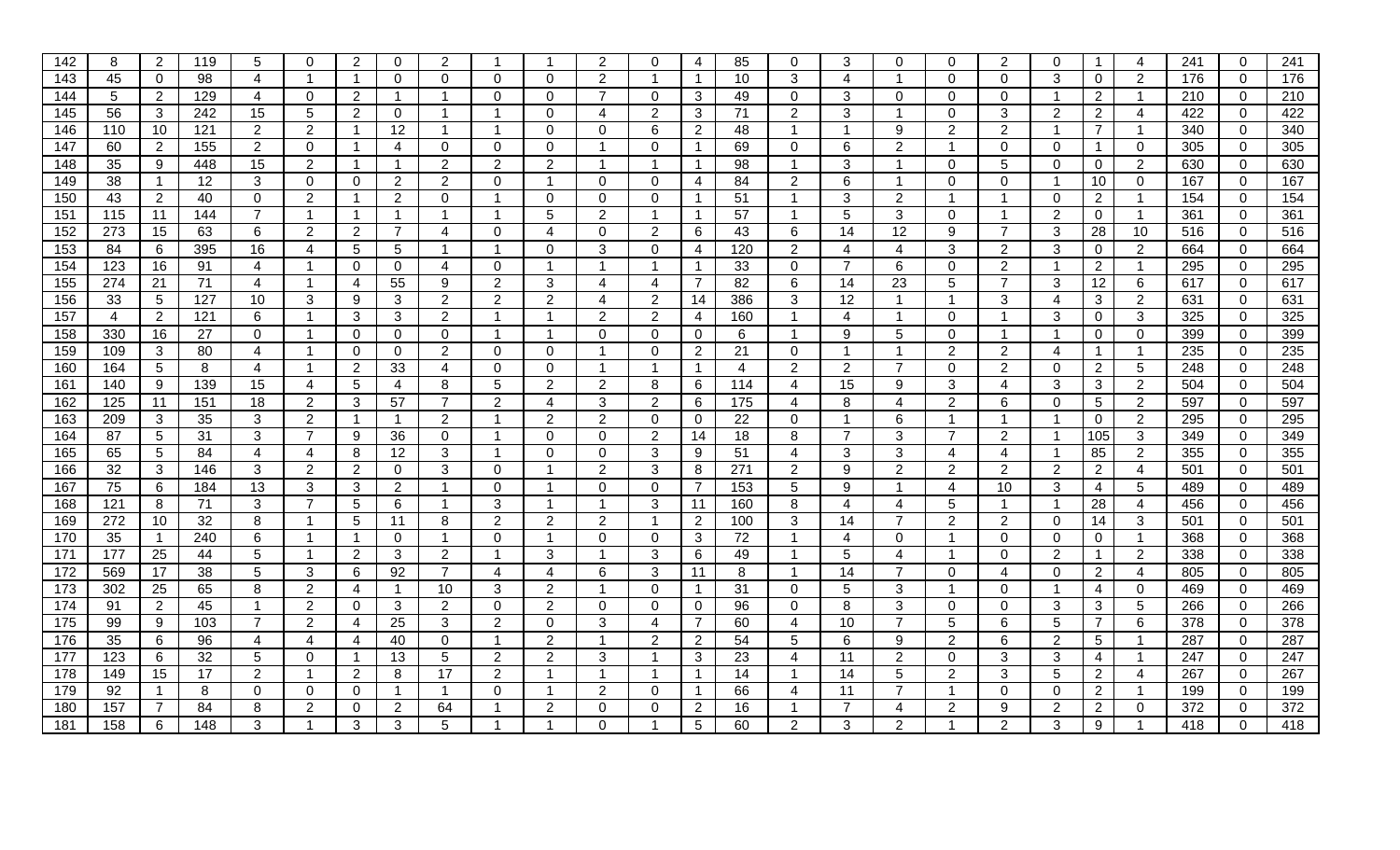| 142 | 8              | 2              | 119 | 5              | $\Omega$       | 2              | 0              | 2                        |                |                | 2              | $\Omega$       | 4              | 85  | 0              | 3              | $\Omega$                | $\Omega$       | 2              | 0              |                       | 4                    | 241 | $\mathbf 0$    | 241              |
|-----|----------------|----------------|-----|----------------|----------------|----------------|----------------|--------------------------|----------------|----------------|----------------|----------------|----------------|-----|----------------|----------------|-------------------------|----------------|----------------|----------------|-----------------------|----------------------|-----|----------------|------------------|
| 143 | 45             | $\overline{0}$ | 98  | 4              | -1             | $\overline{1}$ | $\Omega$       | $\Omega$                 | $\mathbf{0}$   | $\Omega$       | 2              |                | $\overline{1}$ | 10  | 3              | 4              |                         | $\mathbf 0$    | $\mathbf 0$    | 3              | 0                     | 2                    | 176 | $\mathbf 0$    | 176              |
| 144 | 5              | $\overline{2}$ | 129 | 4              | $\Omega$       | 2              | -1             | -1                       | $\Omega$       | 0              | -7             | $\Omega$       | 3              | 49  | $\Omega$       | 3              | $\Omega$                | $\mathbf 0$    | $\mathbf 0$    | -1             | 2                     | $\blacktriangleleft$ | 210 | $\overline{0}$ | 210              |
| 145 | 56             | 3              | 242 | 15             | 5              | 2              | 0              | -1                       | -1             | $\Omega$       | $\overline{4}$ | $\overline{2}$ | 3              | 71  | $\overline{2}$ | 3              | -1                      | $\Omega$       | 3              | 2              | $\overline{2}$        | $\overline{4}$       | 422 | $\Omega$       | 422              |
| 146 | 110            | 10             | 121 | 2              | 2              | $\overline{1}$ | 12             | -1                       | -1             | $\Omega$       | $\mathbf 0$    | 6              | $\overline{2}$ | 48  |                | -1             | 9                       | 2              | 2              | $\overline{1}$ | $\overline{7}$        | $\mathbf{1}$         | 340 | $\overline{0}$ | 340              |
| 147 | 60             | $\overline{2}$ | 155 | $\overline{2}$ | 0              | $\mathbf{1}$   | 4              | $\Omega$                 | $\mathbf 0$    | $\Omega$       |                | $\Omega$       | $\mathbf 1$    | 69  | $\mathbf 0$    | 6              | $\overline{2}$          | -1             | $\mathbf 0$    | $\mathbf{0}$   |                       | $\mathbf 0$          | 305 | $\mathbf 0$    | 305              |
| 148 | 35             | 9              | 448 | 15             | 2              | $\overline{1}$ | -1             | $\overline{2}$           | $\overline{2}$ | $\overline{2}$ |                | -1             | $\mathbf{1}$   | 98  |                | 3              |                         | $\mathbf 0$    | 5              | $\mathbf{0}$   | 0                     | $\overline{2}$       | 630 | $\overline{0}$ | 630              |
| 149 | 38             |                | 12  | 3              | $\Omega$       | $\Omega$       | $\overline{2}$ | 2                        | $\mathbf{0}$   |                | $\Omega$       | $\Omega$       | 4              | 84  | $\overline{2}$ | 6              | 1                       | $\Omega$       | $\mathbf{0}$   | $\overline{1}$ | 10                    | $\mathbf 0$          | 167 | $\overline{0}$ | 167              |
| 150 | 43             | 2              | 40  | $\mathbf{0}$   | 2              | -1             | $\overline{2}$ | $\Omega$                 | -1             | $\Omega$       | $\Omega$       | $\Omega$       | -1             | 51  |                | 3              | 2                       |                |                | 0              | $\mathbf{2}^{\prime}$ | -1                   | 154 | $\overline{0}$ | 154              |
| 151 | 115            | 11             | 144 | $\overline{7}$ |                | $\mathbf{1}$   |                | $\overline{\phantom{a}}$ | $\overline{1}$ | 5              | $\overline{2}$ |                | $\overline{1}$ | 57  |                | 5              | 3                       | $\mathbf 0$    |                | 2              | 0                     | $\mathbf{1}$         | 361 | $\mathbf 0$    | 361              |
| 152 | 273            | 15             | 63  | 6              | 2              | $\overline{2}$ | $\overline{7}$ | $\boldsymbol{\Delta}$    | $\mathbf 0$    | 4              | $\mathbf 0$    | 2              | 6              | 43  | 6              | 14             | 12                      | 9              | $\overline{7}$ | 3              | 28                    | 10                   | 516 | $\overline{0}$ | 516              |
| 153 | 84             | 6              | 395 | 16             | $\overline{4}$ | 5              | 5              | -1                       | -1             | $\Omega$       | 3              | 0              | 4              | 120 | $\overline{2}$ | 4              | $\overline{\mathbf{4}}$ | 3              | 2              | 3              | $\mathbf 0$           | $\overline{2}$       | 664 | $\mathbf 0$    | 664              |
| 154 | 123            | 16             | 91  | 4              | -1             | $\Omega$       | 0              | 4                        | $\Omega$       |                |                |                | $\mathbf{1}$   | 33  | $\mathbf 0$    | $\overline{7}$ | 6                       | $\Omega$       | $\overline{2}$ | -1             | $\overline{2}$        | $\mathbf{1}$         | 295 | $\mathbf 0$    | 295              |
| 155 | 274            | 21             | 71  | 4              |                | 4              | 55             | 9                        | $\overline{2}$ | 3              | 4              | 4              | $\overline{7}$ | 82  | 6              | 14             | 23                      | 5              | $\overline{7}$ | 3              | 12                    | 6                    | 617 | $\overline{0}$ | 617              |
| 156 | 33             | 5              | 127 | 10             | 3              | 9              | 3              | 2                        | 2              | 2              | 4              | 2              | 14             | 386 | 3              | 12             |                         |                | 3              | 4              | 3                     | $\overline{2}$       | 631 | $\overline{0}$ | 631              |
| 157 | $\overline{4}$ | $\overline{2}$ | 121 | 6              |                | 3              | 3              | 2                        | -1             |                | 2              | 2              | 4              | 160 | $\overline{1}$ | 4              | -1                      | 0              | -1             | 3              | 0                     | 3                    | 325 | $\overline{0}$ | 325              |
| 158 | 330            | 16             | 27  | $\mathbf{0}$   | -1             | $\mathbf{0}$   | 0              | 0                        | -1             |                | $\Omega$       | 0              | $\mathbf 0$    | 6   |                | 9              | 5                       | $\Omega$       | -1             | -1             | 0                     | $\mathbf 0$          | 399 | $\overline{0}$ | 399              |
| 159 | 109            | 3              | 80  | 4              |                | $\mathbf{0}$   | 0              | 2                        | $\mathbf{0}$   | $\Omega$       |                | 0              | 2              | 21  | $\Omega$       | -1             |                         | 2              | 2              | 4              |                       | $\mathbf{1}$         | 235 | $\mathbf 0$    | 235              |
| 160 | 164            | 5              | 8   | $\overline{4}$ | $\overline{1}$ | $\overline{2}$ | 33             | 4                        | $\mathbf{0}$   | $\Omega$       | $\overline{1}$ | -1             | $\mathbf{1}$   | 4   | $\overline{2}$ | $\overline{2}$ | $\overline{7}$          | $\Omega$       | 2              | $\mathbf{0}$   | $\overline{2}$        | 5                    | 248 | $\mathbf 0$    | 248              |
| 161 | 140            | 9              | 139 | 15             | 4              | 5              | 4              | 8                        | 5              | 2              | $\overline{2}$ | 8              | 6              | 114 | 4              | 15             | 9                       | 3              | 4              | 3              | 3                     | $\overline{2}$       | 504 | $\overline{0}$ | 504              |
| 162 | 125            | 11             | 151 | 18             | $\overline{2}$ | 3              | 57             | $\overline{7}$           | $\overline{2}$ | 4              | 3              | $\overline{2}$ | 6              | 175 | 4              | 8              | 4                       | 2              | 6              | $\mathbf{0}$   | 5                     | $\overline{2}$       | 597 | $\mathbf 0$    | 597              |
| 163 | 209            | 3              | 35  | 3              | 2              | $\overline{1}$ | -1             | 2                        |                | $\overline{2}$ | $\overline{2}$ | 0              | $\mathbf 0$    | 22  | $\mathbf 0$    | -1             | 6                       | -1             |                | -1             | 0                     | $\overline{2}$       | 295 | $\mathbf{0}$   | 295              |
| 164 | 87             | 5              | 31  | 3              | 7              | 9              | 36             | $\Omega$                 |                | $\Omega$       | $\Omega$       | $\overline{2}$ | 14             | 18  | 8              | $\overline{7}$ | 3                       | 7              | $\overline{2}$ | $\overline{1}$ | 105                   | 3                    | 349 | $\mathbf 0$    | 349              |
| 165 | 65             | 5              | 84  | 4              | 4              | 8              | 12             | 3                        | -1             | $\Omega$       | $\mathbf 0$    | 3              | 9              | 51  | 4              | 3              | 3                       | 4              | $\overline{4}$ | -1             | 85                    | $\overline{2}$       | 355 | $\overline{0}$ | 355              |
| 166 | 32             | 3              | 146 | 3              | 2              | $\overline{2}$ | $\Omega$       | 3                        | $\mathbf{0}$   |                | 2              | 3              | 8              | 271 | $\overline{2}$ | 9              | $\overline{2}$          | 2              | $\overline{2}$ | 2              | $\overline{2}$        | $\overline{4}$       | 501 | $\overline{0}$ | 501              |
| 167 | 75             | 6              | 184 | 13             | 3              | 3              | $\overline{2}$ | -1                       | $\mathbf{0}$   |                | $\Omega$       | 0              | $\overline{7}$ | 153 | 5              | 9              |                         | 4              | 10             | 3              | 4                     | 5                    | 489 | $\overline{0}$ | 489              |
| 168 | 121            | 8              | 71  | 3              | $\overline{7}$ | 5              | 6              | $\overline{\mathbf{1}}$  | 3              |                |                | 3              | 11             | 160 | 8              | $\overline{4}$ | 4                       | 5              | $\mathbf{1}$   | $\overline{1}$ | 28                    | $\overline{4}$       | 456 | $\mathbf 0$    | 456              |
| 169 | 272            | 10             | 32  | 8              | -1             | 5              | 11             | 8                        | 2              | $\overline{2}$ | 2              | -1             | $\overline{2}$ | 100 | 3              | 14             | $\overline{7}$          | 2              | $\overline{2}$ | $\mathbf{0}$   | 14                    | 3                    | 501 | $\overline{0}$ | 501              |
| 170 | 35             |                | 240 | 6              |                | $\mathbf{1}$   | 0              | -1                       | $\Omega$       |                | $\Omega$       | $\Omega$       | 3              | 72  |                | 4              | $\mathbf 0$             | -1             | $\overline{0}$ | $\Omega$       | 0                     | $\mathbf{1}$         | 368 | $\mathbf 0$    | 368              |
| 171 | 177            | 25             | 44  | 5              |                | 2              | 3              | 2                        |                | 3              |                | 3              | 6              | 49  |                | 5              | 4                       |                | 0              | $\overline{2}$ |                       | $\overline{2}$       | 338 | $\overline{0}$ | 338              |
| 172 | 569            | 17             | 38  | 5              | 3              | 6              | 92             | $\overline{7}$           | 4              |                | 6              | 3              | 11             | 8   |                | 14             | $\overline{7}$          | $\Omega$       | $\overline{4}$ | $\mathbf{0}$   | $\overline{2}$        | $\overline{4}$       | 805 | $\overline{0}$ | 805              |
| 173 | 302            | 25             | 65  | 8              | $\overline{2}$ | 4              | -1             | 10                       | 3              | 2              |                | $\Omega$       | $\mathbf{1}$   | 31  | $\mathbf 0$    | 5              | 3                       |                | $\overline{0}$ | -1             | 4                     | $\mathbf 0$          | 469 | $\overline{0}$ | 469              |
| 174 | 91             | $\overline{2}$ | 45  | -1             | 2              | $\mathbf 0$    | 3              | $\overline{2}$           | $\mathbf 0$    | 2              | $\overline{0}$ | $\Omega$       | $\overline{0}$ | 96  | $\Omega$       | 8              | 3                       | $\mathbf 0$    | $\mathbf 0$    | 3              | 3                     | $5\phantom{.0}$      | 266 | $\overline{0}$ | 266              |
| 175 | 99             | 9              | 103 | $\overline{7}$ | $\overline{2}$ | 4              | 25             | 3                        | 2              | $\Omega$       | 3              | 4              | $\overline{7}$ | 60  | 4              | 10             | $\overline{7}$          | 5              | 6              | 5              | 7                     | 6                    | 378 | $\mathbf 0$    | $\overline{378}$ |
| 176 | 35             | 6              | 96  | 4              | 4              | 4              | 40             | $\Omega$                 | -1             | $\overline{2}$ | -1             | 2              | $\overline{2}$ | 54  | 5              | 6              | 9                       | 2              | 6              | 2              | 5                     | $\mathbf{1}$         | 287 | $\mathbf 0$    | 287              |
| 177 | 123            | 6              | 32  | 5              | $\Omega$       | $\overline{1}$ | 13             | 5                        | 2              | $\overline{2}$ | 3              |                | 3              | 23  | 4              | 11             | $\overline{2}$          | $\mathbf 0$    | 3              | 3              | 4                     | $\overline{1}$       | 247 | $\mathbf 0$    | 247              |
| 178 | 149            | 15             | 17  | $\overline{2}$ |                | $\overline{2}$ | 8              | 17                       | $\overline{2}$ |                |                |                | $\mathbf 1$    | 14  |                | 14             | 5                       | $\overline{2}$ | 3              | 5              | $\overline{2}$        | 4                    | 267 | $\overline{0}$ | 267              |
| 179 | 92             |                | 8   | $\mathbf{0}$   | $\Omega$       | $\overline{0}$ |                | -1                       | $\Omega$       |                | 2              | $\Omega$       | $\mathbf 1$    | 66  | 4              | 11             | $\overline{7}$          |                | $\overline{0}$ | $\mathbf{0}$   | $\overline{2}$        | $\mathbf 1$          | 199 | $\mathbf 0$    | 199              |
| 180 | 157            | 7              | 84  | 8              | 2              | $\mathbf 0$    | 2              | 64                       |                | $\overline{2}$ | 0              | $\Omega$       | $\overline{2}$ | 16  |                |                | 4                       | 2              | 9              | 2              | 2                     | $\mathbf 0$          | 372 | $\overline{0}$ | 372              |
| 181 | 158            | 6              | 148 | 3              |                | 3              | 3              | 5                        |                |                | $\Omega$       |                | 5              | 60  | $\overline{2}$ | 3              | $\mathfrak{p}$          |                | 2              | 3              | 9                     |                      | 418 | $\overline{0}$ | 418              |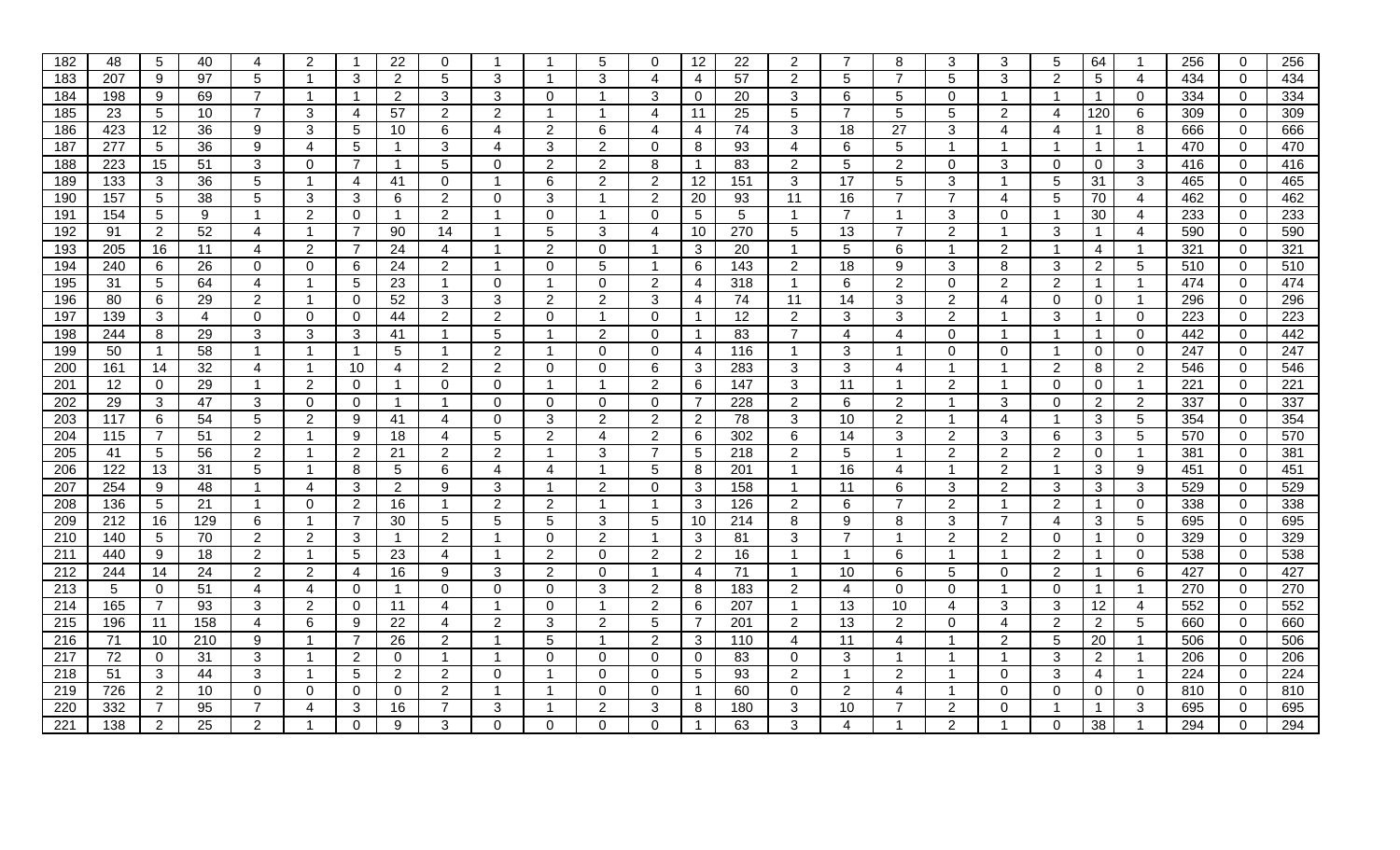| 182 | 48              | 5               | 40  | 4              | 2                | -1             | 22             | 0              | -1                      |                | 5                     |                | 12             | 22  | $\overline{2}$ |                 | 8              | 3              | 3              | 5                       | 64             |                 | 256 | $\overline{0}$ | 256 |
|-----|-----------------|-----------------|-----|----------------|------------------|----------------|----------------|----------------|-------------------------|----------------|-----------------------|----------------|----------------|-----|----------------|-----------------|----------------|----------------|----------------|-------------------------|----------------|-----------------|-----|----------------|-----|
| 183 | 207             | 9               | 97  | 5              |                  | 3              | $\overline{2}$ | 5              | 3                       |                | 3                     | 4              | 4              | 57  | 2              | 5               | $\overline{7}$ | 5              | 3              | $\overline{2}$          | 5              | 4               | 434 | $\mathbf 0$    | 434 |
| 184 | 198             | 9               | 69  | 7              |                  | -1             | 2              | 3              | 3                       | $\Omega$       |                       | 3              | $\mathbf 0$    | 20  | 3              | 6               | 5              | $\mathbf{0}$   | -1             | -1                      |                | $\mathbf 0$     | 334 | $\overline{0}$ | 334 |
| 185 | 23              | 5               | 10  | $\overline{7}$ | 3                | 4              | 57             | $\overline{2}$ | 2                       | -1             |                       | 4              | 11             | 25  | 5              | $\overline{7}$  | 5              | 5              | 2              | 4                       | 120            | 6               | 309 | $\Omega$       | 309 |
| 186 | 423             | 12              | 36  | 9              | 3                | 5              | 10             | 6              | 4                       | 2              | 6                     | 4              | 4              | 74  | 3              | 18              | 27             | 3              | $\overline{4}$ | 4                       |                | 8               | 666 | $\overline{0}$ | 666 |
| 187 | 277             | 5               | 36  | 9              | 4                | 5              |                | 3              | 4                       | 3              | $\overline{2}$        | 0              | 8              | 93  | 4              | 6               | 5              | -1             |                | -1                      |                | $\mathbf{1}$    | 470 | $\mathbf 0$    | 470 |
| 188 | 223             | 15              | 51  | 3              | $\Omega$         | 7              |                | 5              | $\Omega$                | 2              | $\overline{2}$        | 8              | $\mathbf 1$    | 83  | $\overline{2}$ | 5               | $\overline{2}$ | $\mathbf{0}$   | 3              | $\Omega$                | 0              | 3               | 416 | $\overline{0}$ | 416 |
| 189 | 133             | 3               | 36  | 5              |                  | 4              | 41             | 0              | -1                      | 6              | 2                     | 2              | 12             | 151 | 3              | 17              | 5              | 3              | -1             | 5                       | 31             | 3               | 465 | $\overline{0}$ | 465 |
| 190 | 157             | 5               | 38  | 5              | 3                | 3              | 6              | 2              | $\Omega$                | 3              |                       | 2              | 20             | 93  | 11             | 16              | $\overline{7}$ | 7              | 4              | 5                       | 70             | $\overline{4}$  | 462 | $\overline{0}$ | 462 |
| 191 | 154             | 5               | 9   | $\mathbf{1}$   | $\overline{2}$   | $\Omega$       |                | 2              | $\overline{1}$          | $\Omega$       |                       | $\Omega$       | 5              | 5   |                | $\overline{7}$  | $\mathbf{1}$   | 3              | $\mathbf 0$    | $\overline{\mathbf{1}}$ | 30             | 4               | 233 | $\overline{0}$ | 233 |
| 192 | 91              | $\overline{2}$  | 52  | 4              | -1               | $\overline{7}$ | 90             | 14             | -1                      | 5              | 3                     | 4              | 10             | 270 | 5              | 13              | $\overline{7}$ | 2              | $\overline{1}$ | 3                       |                | 4               | 590 | $\overline{0}$ | 590 |
| 193 | 205             | 16              | 11  | 4              | $\overline{2}$   | $\overline{7}$ | 24             | 4              | -1                      | $\overline{2}$ | 0                     | - 1            | 3              | 20  | $\overline{1}$ | $5\phantom{.0}$ | 6              | -1             | 2              | -1                      | 4              | $\overline{1}$  | 321 | $\mathbf 0$    | 321 |
| 194 | 240             | 6               | 26  | $\Omega$       | $\Omega$         | 6              | 24             | 2              | -1                      | $\Omega$       | 5                     |                | 6              | 143 | $\overline{2}$ | 18              | 9              | 3              | 8              | 3                       | 2              | 5               | 510 | $\mathbf{0}$   | 510 |
| 195 | 31              | 5               | 64  | 4              |                  | 5              | 23             | -1             | $\Omega$                |                | $\Omega$              | 2              | 4              | 318 |                | 6               | $\overline{2}$ | $\mathbf 0$    | $\overline{2}$ | 2                       |                | $\mathbf{1}$    | 474 | $\overline{0}$ | 474 |
| 196 | 80              | 6               | 29  | $\overline{2}$ |                  | $\mathbf 0$    | 52             | 3              | 3                       | 2              | $\overline{2}$        | 3              | 4              | 74  | 11             | 14              | 3              | 2              | $\overline{4}$ | $\Omega$                | 0              | $\overline{1}$  | 296 | $\overline{0}$ | 296 |
| 197 | 139             | 3               | 4   | 0              | 0                | 0              | 44             | $\overline{2}$ | $\overline{2}$          | $\Omega$       |                       | $\Omega$       | $\overline{1}$ | 12  | $\overline{2}$ | 3               | 3              | 2              | -1             | 3                       |                | $\mathbf 0$     | 223 | $\mathbf 0$    | 223 |
| 198 | 244             | 8               | 29  | 3              | 3                | 3              | 41             | - 1            | 5                       |                | 2                     | $\Omega$       | $\mathbf 1$    | 83  |                | 4               | 4              | $\Omega$       |                |                         |                | $\mathbf 0$     | 442 | $\mathbf 0$    | 442 |
| 199 | 50              | $\mathbf{1}$    | 58  | -1             |                  | 1              | 5              | -1             | 2                       |                | $\Omega$              | 0              | 4              | 116 |                | 3               | 1              | $\Omega$       | 0              | -1                      | $\Omega$       | $\mathbf 0$     | 247 | $\overline{0}$ | 247 |
| 200 | 161             | 14              | 32  | 4              | $\overline{1}$   | 10             | 4              | 2              | $\overline{2}$          | $\Omega$       | $\Omega$              | 6              | 3              | 283 | 3              | 3               | 4              | $\overline{1}$ | $\mathbf 1$    | 2                       | 8              | $\overline{2}$  | 546 | $\mathbf 0$    | 546 |
| 201 | 12              | $\overline{0}$  | 29  | $\mathbf{1}$   | 2                | $\mathbf 0$    | -1             | 0              | 0                       | -1             | $\mathbf 1$           | 2              | 6              | 147 | 3              | 11              | $\overline{1}$ | 2              | $\overline{1}$ | $\mathbf{0}$            | 0              | $\mathbf{1}$    | 221 | $\overline{0}$ | 221 |
| 202 | $\overline{29}$ | 3               | 47  | 3              | $\Omega$         | $\Omega$       |                | -1             | $\Omega$                | $\Omega$       | $\Omega$              | 0              | $\overline{7}$ | 228 | $\overline{2}$ | 6               | $\overline{2}$ | $\mathbf 1$    | 3              | $\mathbf{0}$            | $\overline{2}$ | $\overline{2}$  | 337 | $\mathbf 0$    | 337 |
| 203 | 117             | 6               | 54  | 5              | 2                | 9              | 41             | 4              | $\Omega$                | 3              | $\overline{2}$        | 2              | $\overline{2}$ | 78  | 3              | 10              | 2              | -1             | 4              | $\overline{1}$          | 3              | 5               | 354 | $\mathbf{0}$   | 354 |
| 204 | 115             | 7               | 51  | $\overline{2}$ |                  | 9              | 18             | 4              | 5                       | 2              | $\boldsymbol{\Delta}$ | $\overline{2}$ | 6              | 302 | 6              | 14              | 3              | 2              | 3              | 6                       | 3              | $\overline{5}$  | 570 | $\mathbf 0$    | 570 |
| 205 | 41              | 5               | 56  | $\overline{2}$ | -1               | 2              | 21             | $\overline{2}$ | $\overline{2}$          | -1             | 3                     |                | $\sqrt{5}$     | 218 | $\overline{2}$ | 5               | $\mathbf{1}$   | $\overline{2}$ | $\overline{2}$ | $\overline{2}$          | 0              | $\mathbf{1}$    | 381 | $\overline{0}$ | 381 |
| 206 | 122             | 13              | 31  | 5              | -1               | 8              | 5              | 6              | 4                       | 4              |                       | 5              | 8              | 201 |                | 16              | 4              |                | $\overline{2}$ | $\overline{1}$          | 3              | 9               | 451 | $\overline{0}$ | 451 |
| 207 | 254             | 9               | 48  | -1             | $\boldsymbol{4}$ | 3              | $\overline{2}$ | 9              | 3                       |                | 2                     | $\Omega$       | 3              | 158 |                | 11              | 6              | 3              | 2              | 3                       | 3              | 3               | 529 | $\overline{0}$ | 529 |
| 208 | 136             | $5\phantom{.0}$ | 21  | $\mathbf 1$    | $\Omega$         | $\overline{2}$ | 16             | $\overline{1}$ | $\overline{2}$          | $\overline{2}$ |                       | -1             | 3              | 126 | $\overline{2}$ | 6               | $\overline{7}$ | 2              | $\mathbf 1$    | 2                       |                | $\mathbf 0$     | 338 | $\mathbf 0$    | 338 |
| 209 | 212             | 16              | 129 | 6              |                  | $\overline{7}$ | 30             | 5              | 5                       | 5              | 3                     | 5              | 10             | 214 | 8              | 9               | 8              | 3              | $\overline{7}$ | 4                       | 3              | $5\phantom{.0}$ | 695 | $\overline{0}$ | 695 |
| 210 | 140             | 5               | 70  | $\overline{2}$ | 2                | 3              |                | $\mathfrak{p}$ |                         | $\Omega$       | $\overline{2}$        |                | 3              | 81  | 3              | $\overline{7}$  | -1             | $\overline{2}$ | $\overline{2}$ | $\Omega$                |                | $\mathbf 0$     | 329 | $\overline{0}$ | 329 |
| 211 | 440             | 9               | 18  | $\overline{2}$ |                  | 5              | 23             | 4              | -1                      | 2              | $\Omega$              | 2              | 2              | 16  |                |                 | 6              | -1             | -1             | 2                       |                | $\Omega$        | 538 | $\mathbf 0$    | 538 |
| 212 | 244             | 14              | 24  | $\overline{2}$ | 2                | 4              | 16             | 9              | 3                       | 2              | $\mathbf{0}$          | -1             | $\overline{4}$ | 71  |                | 10              | 6              | 5              | $\mathbf 0$    | 2                       |                | 6               | 427 | $\mathbf 0$    | 427 |
| 213 | 5               | $\mathbf 0$     | 51  | 4              | 4                | 0              | -1             | $\Omega$       | $\Omega$                | $\Omega$       | 3                     | 2              | 8              | 183 | $\overline{2}$ | 4               | $\mathbf 0$    | $\Omega$       | -1             | $\Omega$                |                | $\mathbf{1}$    | 270 | $\overline{0}$ | 270 |
| 214 | 165             | 7               | 93  | 3              | 2                | $\Omega$       | 11             | 4              | -1                      | $\Omega$       |                       | 2              | 6              | 207 | $\overline{1}$ | 13              | 10             | 4              | 3              | 3                       | 12             | 4               | 552 | $\overline{0}$ | 552 |
| 215 | 196             | 11              | 158 | 4              | 6                | 9              | 22             | 4              | 2                       | 3              | 2                     | 5              | $\overline{7}$ | 201 | $\overline{2}$ | $\overline{13}$ | 2              | $\Omega$       | $\overline{4}$ | 2                       | 2              | 5               | 660 | $\mathbf 0$    | 660 |
| 216 | 71              | 10              | 210 | 9              | -1               | $\overline{7}$ | 26             | $\overline{2}$ | $\overline{\mathbf{1}}$ | 5              | -1                    | 2              | $\mathbf{3}$   | 110 | 4              | 11              | 4              | -1             | $\overline{2}$ | 5                       | 20             | $\mathbf{1}$    | 506 | $\mathbf 0$    | 506 |
| 217 | 72              | $\mathbf 0$     | 31  | 3              | -1               | 2              | 0              | -1             | -1                      | $\Omega$       | $\mathbf 0$           | $\Omega$       | $\mathbf{0}$   | 83  | 0              | 3               | $\mathbf 1$    | -1             | $\overline{1}$ | 3                       | $\overline{2}$ | $\overline{1}$  | 206 | $\mathbf 0$    | 206 |
| 218 | 51              | 3               | 44  | 3              |                  | 5              | $\overline{2}$ | $\overline{2}$ | $\Omega$                |                | $\Omega$              | 0              | 5              | 93  | $\overline{2}$ |                 | $\overline{2}$ |                | $\overline{0}$ | 3                       | 4              | $\overline{1}$  | 224 | $\overline{0}$ | 224 |
| 219 | 726             | $\overline{2}$  | 10  | $\Omega$       | $\Omega$         | 0              | 0              | $\overline{2}$ |                         |                | $\Omega$              | $\Omega$       | $\mathbf 1$    | 60  | $\Omega$       | $\overline{2}$  | 4              |                | $\Omega$       | $\mathbf{0}$            | 0              | $\mathbf 0$     | 810 | $\mathbf 0$    | 810 |
| 220 | 332             | 7               | 95  | 7              |                  | 3              | 16             | 7              | 3                       |                | 2                     | 3              | 8              | 180 | 3              | 10              |                | 2              | 0              | -1                      |                | 3               | 695 | $\overline{0}$ | 695 |
| 221 | 138             | 2               | 25  | $\overline{2}$ |                  | $\Omega$       | 9              | 3              | $\Omega$                | $\Omega$       | $\Omega$              |                | 1              | 63  | 3              | 4               |                | $\overline{2}$ |                | $\Omega$                | 38             |                 | 294 | $\overline{0}$ | 294 |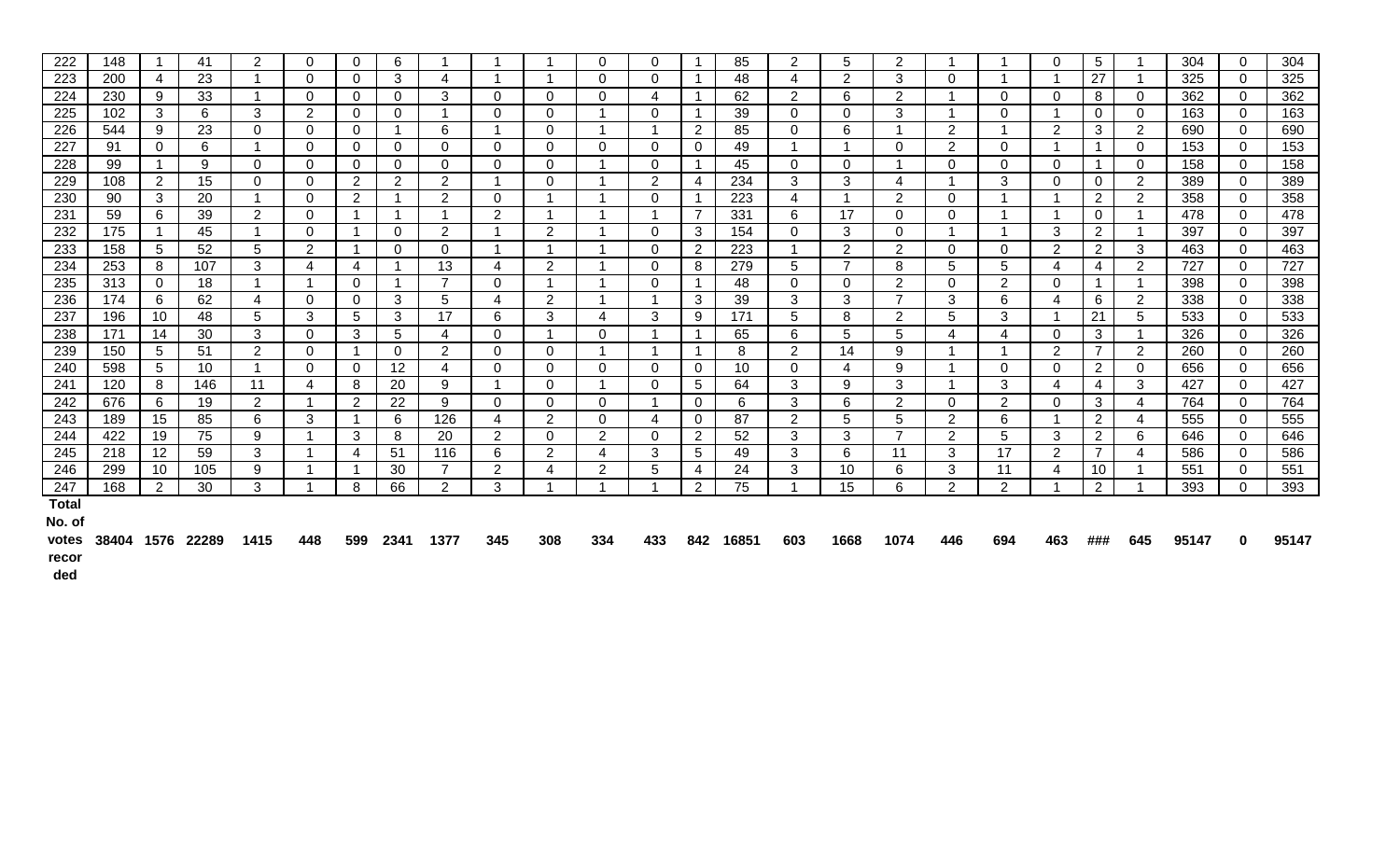| 222          | 148 |                 | 41  | 2              | $\Omega$       | $\Omega$        | 6               |                |                         |                | 0                       | $\Omega$ |                      | 85  | $\overline{2}$ | 5              | $\overline{2}$        |                |                 | $\Omega$                | 5              |                 | 304 | $\Omega$       | 304 |
|--------------|-----|-----------------|-----|----------------|----------------|-----------------|-----------------|----------------|-------------------------|----------------|-------------------------|----------|----------------------|-----|----------------|----------------|-----------------------|----------------|-----------------|-------------------------|----------------|-----------------|-----|----------------|-----|
| 223          | 200 | 4               | 23  |                | $\mathbf 0$    | $\mathbf 0$     | 3               | 4              |                         |                | 0                       | $\Omega$ |                      | 48  | 4              | $\overline{2}$ | 3                     | $\Omega$       |                 |                         | 27             |                 | 325 | $\overline{0}$ | 325 |
| 224          | 230 | 9               | 33  |                | $\Omega$       | $\mathbf 0$     | $\Omega$        | 3              | $\Omega$                | $\mathbf 0$    | $\Omega$                | 4        | $\overline{1}$       | 62  | $\overline{2}$ | 6              | $\overline{2}$        |                | $\mathbf{0}$    | $\mathbf{0}$            | 8              | $\mathbf 0$     | 362 | $\overline{0}$ | 362 |
| 225          | 102 | 3 <sup>1</sup>  | 6   | 3              | 2              | $\Omega$        | $\overline{0}$  | -1             | $\mathbf{0}$            | $\Omega$       | - 1                     | $\Omega$ | $\mathbf{1}$         | 39  | $\Omega$       | $\Omega$       | 3                     |                | $\Omega$        | -1                      | $\Omega$       | $\Omega$        | 163 | $\Omega$       | 163 |
| 226          | 544 | 9               | 23  | $\Omega$       | $\mathbf 0$    | $\mathbf 0$     | 1               | 6              |                         | $\Omega$       |                         |          | 2                    | 85  | $\Omega$       | 6              |                       | 2              |                 | 2                       | 3              | $\overline{2}$  | 690 | $\overline{0}$ | 690 |
| 227          | 91  | $\mathbf 0$     | 6   |                | $\Omega$       | $\mathbf 0$     | $\Omega$        | 0              | $\Omega$                | 0              | 0                       | $\Omega$ | $\overline{0}$       | 49  |                |                | $\Omega$              | $\overline{2}$ | $\mathbf{0}$    | -4                      |                | $\mathbf 0$     | 153 | $\mathbf 0$    | 153 |
| 228          | 99  |                 | 9   | $\Omega$       | $\mathbf{0}$   | $\mathbf 0$     | $\Omega$        | 0              | $\Omega$                | $\mathbf{0}$   |                         | $\Omega$ | $\mathbf{1}$         | 45  | $\overline{0}$ | $\Omega$       |                       | $\overline{0}$ | $\overline{0}$  | $\Omega$                |                | $\overline{0}$  | 158 | $\overline{0}$ | 158 |
| 229          | 108 | $\overline{2}$  | 15  | $\Omega$       | $\Omega$       | $\overline{2}$  | $\overline{2}$  | $\overline{2}$ |                         | $\Omega$       |                         | 2        | 4                    | 234 | 3              | 3              | 4                     |                | 3               | 0                       | 0              | $\overline{2}$  | 389 | $\Omega$       | 389 |
| 230          | 90  | 3               | 20  | $\mathbf 1$    | $\mathbf 0$    | $\overline{2}$  | -1              | 2              | $\Omega$                |                | $\overline{\mathbf{A}}$ | $\Omega$ | $\overline{1}$       | 223 | 4              | -4             | $\overline{2}$        | $\mathbf 0$    |                 | $\overline{\mathbf{A}}$ | $\overline{2}$ | $\overline{2}$  | 358 | $\mathbf 0$    | 358 |
| 231          | 59  | 6               | 39  | 2              | $\Omega$       | $\mathbf{1}$    | 1               | -1             | 2                       |                |                         | -1       | 7                    | 331 | 6              | 17             | $\Omega$              | $\Omega$       |                 | - 1                     | 0              |                 | 478 | $\Omega$       | 478 |
| 232          | 175 |                 | 45  | $\mathbf 1$    | $\mathbf{0}$   | $\overline{1}$  | $\overline{0}$  | 2              | -1                      | 2              | -1                      | $\Omega$ | 3                    | 154 | $\overline{0}$ | 3              | $\overline{0}$        |                |                 | $\mathbf{3}$            | 2              |                 | 397 | $\overline{0}$ | 397 |
| 233          | 158 | 5               | 52  | 5              | 2              | $\overline{1}$  | $\Omega$        | $\mathbf{0}$   |                         |                | $\overline{\mathbf{A}}$ | $\Omega$ | $\overline{2}$       | 223 | $\overline{A}$ | $\overline{2}$ | 2                     | $\mathbf 0$    | $\mathbf 0$     | 2                       | $\overline{2}$ | 3               | 463 | $\Omega$       | 463 |
| 234          | 253 | 8               | 107 | 3              | 4              | $\overline{4}$  | -1              | 13             | 4                       | $\overline{2}$ |                         | $\Omega$ | 8                    | 279 | 5              | $\overline{7}$ | 8                     | 5              | $5\overline{)}$ | 4                       | 4              | $\overline{2}$  | 727 | $\overline{0}$ | 727 |
| 235          | 313 | $\mathbf 0$     | 18  |                |                | $\mathbf 0$     | 1               | $\overline{7}$ | $\mathbf 0$             |                |                         | $\Omega$ | $\blacktriangleleft$ | 48  | $\mathbf 0$    | 0              | $\overline{2}$        | 0              | $\overline{2}$  | 0                       |                |                 | 398 | $\overline{0}$ | 398 |
| 236          | 174 | 6               | 62  | 4              | $\Omega$       | $\Omega$        | 3               | 5              | 4                       | $\overline{2}$ |                         | -1       | 3                    | 39  | 3              | 3              | $\overline{7}$        | 3              | 6               | 4                       | 6              | $\overline{2}$  | 338 | $\overline{0}$ | 338 |
| 237          | 196 | 10 <sup>°</sup> | 48  | 5              | 3              | $5\phantom{.0}$ | 3               | 17             | 6                       | 3              | 4                       | 3        | 9                    | 171 | 5              | 8              | $\overline{2}$        | 5              | 3               | - 1                     | 21             | $5\overline{)}$ | 533 | $\overline{0}$ | 533 |
| 238          | 171 | 14              | 30  | 3              | $\mathbf 0$    | 3               | 5               | 4              | $\mathbf 0$             |                | 0                       |          | $\overline{1}$       | 65  | 6              | 5              | 5                     | 4              | 4               | $\mathbf 0$             | 3              |                 | 326 | $\overline{0}$ | 326 |
| 239          | 150 | 5 <sup>5</sup>  | 51  | 2              | $\Omega$       | $\overline{1}$  | $\Omega$        | 2              | $\Omega$                | $\mathbf{0}$   |                         | -1       | $\mathbf{1}$         | 8   | $\overline{2}$ | 14             | 9                     |                |                 | 2                       | $\overline{7}$ | $\overline{2}$  | 260 | $\overline{0}$ | 260 |
| 240          | 598 | 5 <sup>5</sup>  | 10  | -1             | $\Omega$       | $\Omega$        | 12 <sup>2</sup> | 4              | $\Omega$                | $\mathbf 0$    | $\Omega$                | $\Omega$ | $\overline{0}$       | 10  | $\mathbf{0}$   | 4              | 9                     |                | $\mathbf{0}$    | 0                       | $\mathbf{2}$   | $\Omega$        | 656 | $\overline{0}$ | 656 |
| 241          | 120 | 8               | 146 | 11             | $\overline{4}$ | 8               | 20              | 9              | $\overline{\mathbf{A}}$ | $\mathbf 0$    | - 1                     | $\Omega$ | $5\phantom{.0}$      | 64  | 3              | 9              | 3                     |                | $\mathbf{3}$    | 4                       | 4              | 3               | 427 | $\Omega$       | 427 |
| 242          | 676 | 6               | 19  | $\overline{2}$ |                | 2               | 22              | 9              | $\Omega$                | $\Omega$       | 0                       |          | $\overline{0}$       | 6   | 3              | 6              | $\mathbf{2}^{\prime}$ | $\Omega$       | $\overline{2}$  | $\Omega$                | 3              | $\overline{4}$  | 764 | $\overline{0}$ | 764 |
| 243          | 189 | 15              | 85  | 6              | 3              | $\mathbf{1}$    | 6               | 126            | 4                       | 2              | $\Omega$                | 4        | $\overline{0}$       | 87  | $\overline{2}$ | 5              | 5                     | $2^{\circ}$    | 6               | -1                      | $\overline{2}$ | 4               | 555 | $\overline{0}$ | 555 |
| 244          | 422 | 19              | 75  | 9              |                | 3               | 8               | 20             | $\overline{2}$          | $\mathbf{0}$   | $\overline{2}$          | $\Omega$ | $\overline{2}$       | 52  | 3              | 3              | $\overline{7}$        | $\overline{2}$ | 5               | 3                       | $\overline{2}$ | 6               | 646 | $\overline{0}$ | 646 |
| 245          | 218 | 12 <sup>°</sup> | 59  | 3              |                | $\overline{4}$  | 51              | 116            | 6                       | 2              | 4                       | 3        | 5                    | 49  | 3              | 6              | 11                    | 3              | 17              | 2                       | 7              | 4               | 586 | $\Omega$       | 586 |
| 246          | 299 | 10              | 105 | 9              |                | -1              | 30              | $\overline{7}$ | $\overline{2}$          | $\overline{4}$ | $\overline{2}$          | 5        | 4                    | 24  | 3              | 10             | 6                     | 3              | 11              | 4                       | 10             |                 | 551 | $\overline{0}$ | 551 |
| 247          | 168 | 2               | 30  | 3              |                | 8               | 66              | 2              | 3                       |                |                         |          | $\overline{2}$       | 75  |                | 15             | 6                     | 2              | $\overline{2}$  | $\overline{ }$          | $\overline{2}$ |                 | 393 | $\overline{0}$ | 393 |
| <b>Total</b> |     |                 |     |                |                |                 |                 |                |                         |                |                         |          |                      |     |                |                |                       |                |                 |                         |                |                 |     |                |     |
| No. of       |     |                 |     |                |                |                 |                 |                |                         |                |                         |          |                      |     |                |                |                       |                |                 |                         |                |                 |     |                |     |

votes 38404 1576 22289 1415 <mark>448 599 2341 1377 345 308 334 433 842 16851 603 1668 1074 446 694 463 ### 645 95147 0 95147</mark> **recor**

**ded**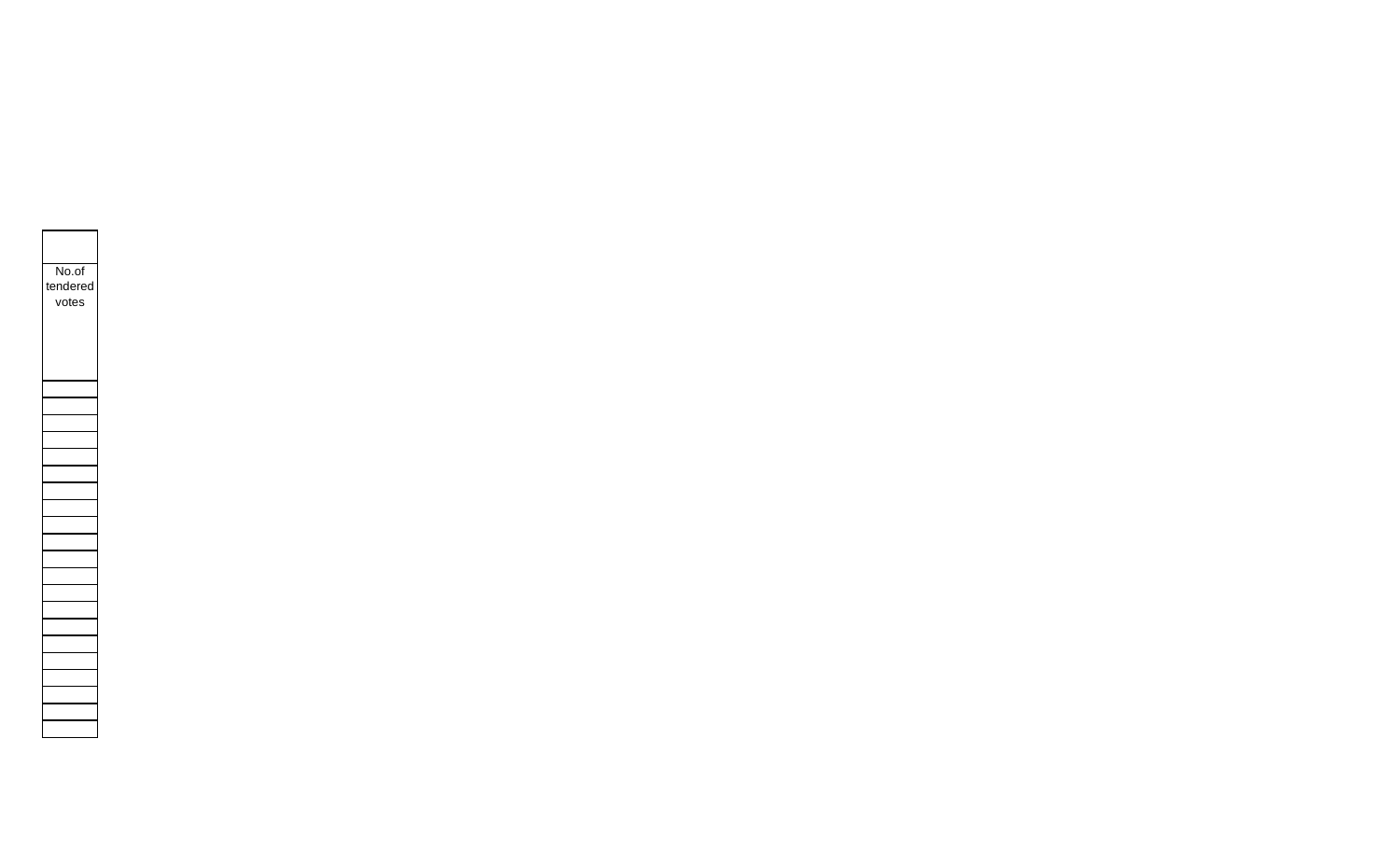